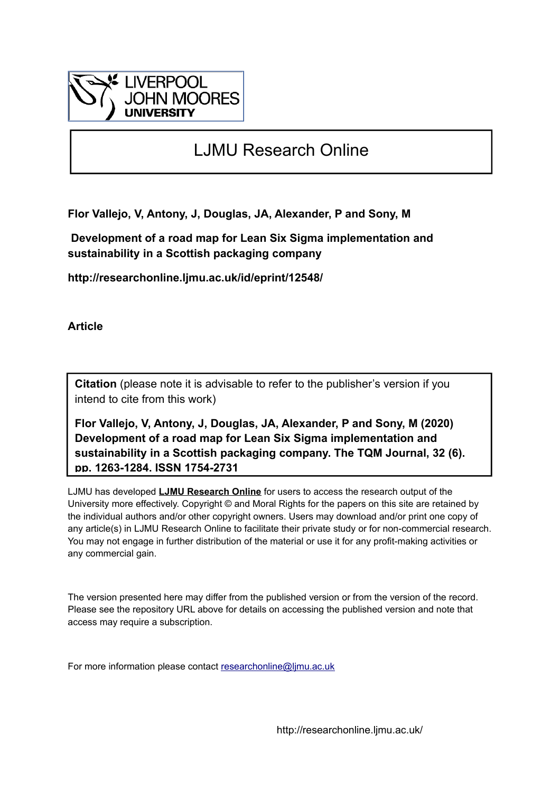

# LJMU Research Online

**Flor Vallejo, V, Antony, J, Douglas, JA, Alexander, P and Sony, M**

 **Development of a road map for Lean Six Sigma implementation and sustainability in a Scottish packaging company**

**http://researchonline.ljmu.ac.uk/id/eprint/12548/**

**Article**

**Citation** (please note it is advisable to refer to the publisher's version if you intend to cite from this work)

**Flor Vallejo, V, Antony, J, Douglas, JA, Alexander, P and Sony, M (2020) Development of a road map for Lean Six Sigma implementation and sustainability in a Scottish packaging company. The TQM Journal, 32 (6). pp. 1263-1284. ISSN 1754-2731** 

LJMU has developed **[LJMU Research Online](http://researchonline.ljmu.ac.uk/)** for users to access the research output of the University more effectively. Copyright © and Moral Rights for the papers on this site are retained by the individual authors and/or other copyright owners. Users may download and/or print one copy of any article(s) in LJMU Research Online to facilitate their private study or for non-commercial research. You may not engage in further distribution of the material or use it for any profit-making activities or any commercial gain.

The version presented here may differ from the published version or from the version of the record. Please see the repository URL above for details on accessing the published version and note that access may require a subscription.

For more information please contact [researchonline@ljmu.ac.uk](mailto:researchonline@ljmu.ac.uk)

http://researchonline.ljmu.ac.uk/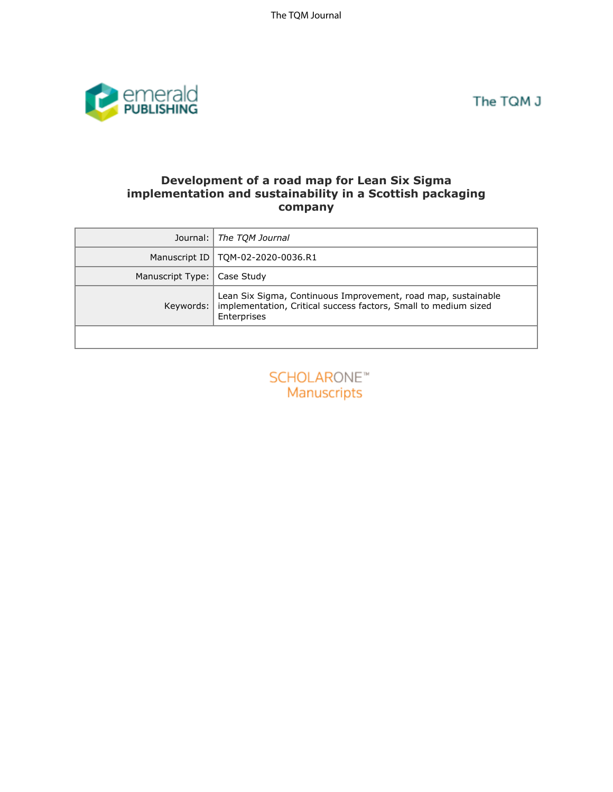

The TQM J

## **Development of a road map for Lean Six Sigma implementation and sustainability in a Scottish packaging company**

| Journal:<br>The TQM Journal                                                                                                                     |  |  |
|-------------------------------------------------------------------------------------------------------------------------------------------------|--|--|
| TQM-02-2020-0036.R1                                                                                                                             |  |  |
| Manuscript Type:<br>Case Study                                                                                                                  |  |  |
| Lean Six Sigma, Continuous Improvement, road map, sustainable<br>implementation, Critical success factors, Small to medium sized<br>Enterprises |  |  |
|                                                                                                                                                 |  |  |
| <b>SCHOLARONE™</b><br>Manuscripts                                                                                                               |  |  |
| Manuscript ID<br>Keywords:                                                                                                                      |  |  |

| <b>SCHOLARONE™</b> |
|--------------------|
| <b>Manuscripts</b> |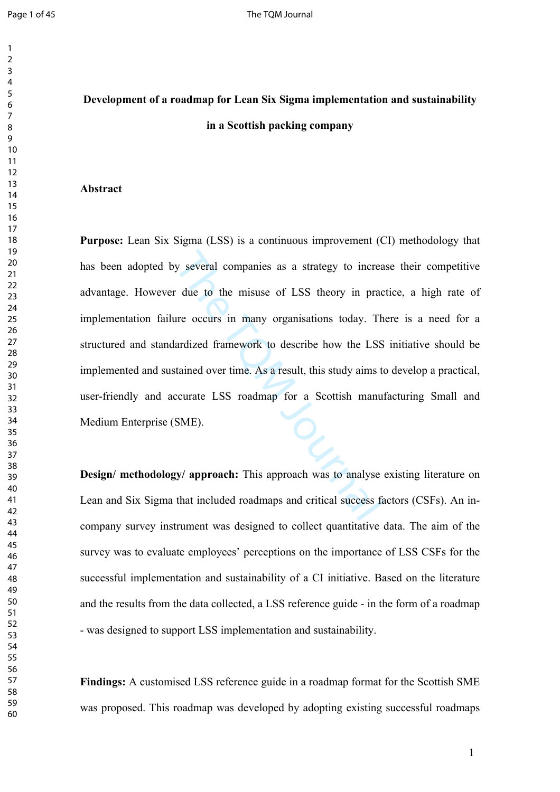$\mathbf{1}$  $\overline{2}$ 

# **Development of a roadmap for Lean Six Sigma implementation and sustainability in a Scottish packing company**

#### **Abstract**

Next y several companies as a strategy to incread explored to the misuse of LSS theory in practice of LSS theory in practice of LSS theory in practice of LSS theory in many organisations today. The ardized framework to des **Purpose:** Lean Six Sigma (LSS) is a continuous improvement (CI) methodology that has been adopted by several companies as a strategy to increase their competitive advantage. However due to the misuse of LSS theory in practice, a high rate of implementation failure occurs in many organisations today. There is a need for a structured and standardized framework to describe how the LSS initiative should be implemented and sustained over time. As a result, this study aims to develop a practical, user-friendly and accurate LSS roadmap for a Scottish manufacturing Small and Medium Enterprise (SME).

**Design/ methodology/ approach:** This approach was to analyse existing literature on Lean and Six Sigma that included roadmaps and critical success factors (CSFs). An incompany survey instrument was designed to collect quantitative data. The aim of the survey was to evaluate employees' perceptions on the importance of LSS CSFs for the successful implementation and sustainability of a CI initiative. Based on the literature and the results from the data collected, a LSS reference guide - in the form of a roadmap - was designed to support LSS implementation and sustainability.

**Findings:** A customised LSS reference guide in a roadmap format for the Scottish SME was proposed. This roadmap was developed by adopting existing successful roadmaps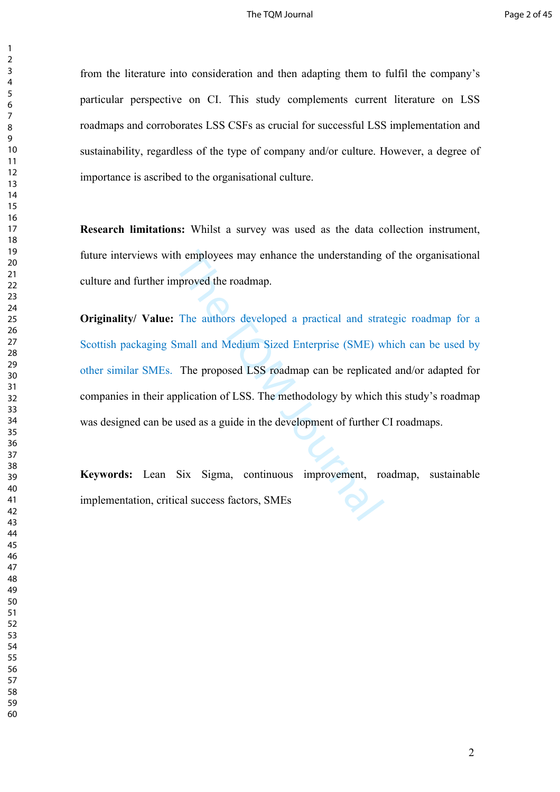from the literature into consideration and then adapting them to fulfil the company's particular perspective on CI. This study complements current literature on LSS roadmaps and corroborates LSS CSFs as crucial for successful LSS implementation and sustainability, regardless of the type of company and/or culture. However, a degree of importance is ascribed to the organisational culture.

**Research limitations:** Whilst a survey was used as the data collection instrument, future interviews with employees may enhance the understanding of the organisational culture and further improved the roadmap.

th employees may enhance the understanding<br>nproved the roadmap.<br>The authors developed a practical and stra<br>Small and Medium Sized Enterprise (SME) w<br>The proposed LSS roadmap can be replicate<br>oplication of LSS. The methodol **Originality/ Value:** The authors developed a practical and strategic roadmap for a Scottish packaging Small and Medium Sized Enterprise (SME) which can be used by other similar SMEs. The proposed LSS roadmap can be replicated and/or adapted for companies in their application of LSS. The methodology by which this study's roadmap was designed can be used as a guide in the development of further CI roadmaps.

**Keywords:** Lean Six Sigma, continuous improvement, roadmap, sustainable implementation, critical success factors, SMEs

 $\mathbf{1}$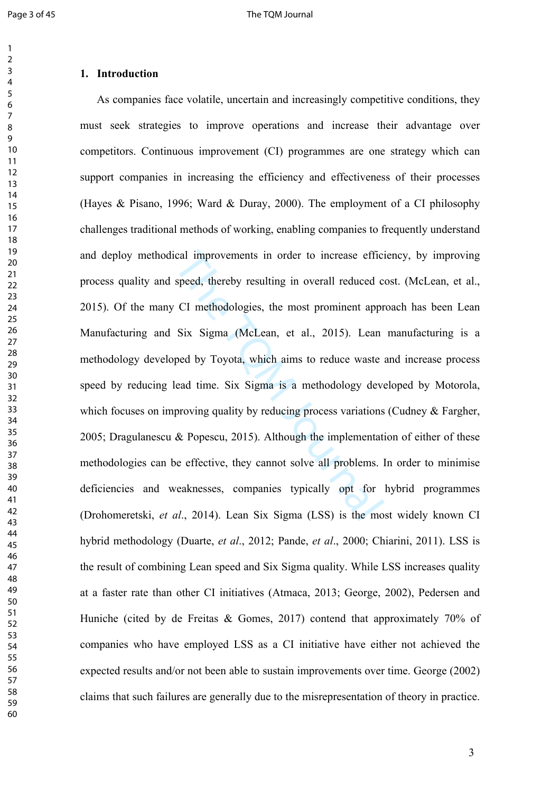### **1. Introduction**

cal improvements in order to increase effici<br>speed, thereby resulting in overall reduced c<br>CI methodologies, the most prominent appr<br>Six Sigma (McLean, et al., 2015). Lean<br>ped by Toyota, which aims to reduce waste a<br>lead t As companies face volatile, uncertain and increasingly competitive conditions, they must seek strategies to improve operations and increase their advantage over competitors. Continuous improvement (CI) programmes are one strategy which can support companies in increasing the efficiency and effectiveness of their processes (Hayes & Pisano, 1996; Ward & Duray, 2000). The employment of a CI philosophy challenges traditional methods of working, enabling companies to frequently understand and deploy methodical improvements in order to increase efficiency, by improving process quality and speed, thereby resulting in overall reduced cost. (McLean, et al., 2015). Of the many CI methodologies, the most prominent approach has been Lean Manufacturing and Six Sigma (McLean, et al., 2015). Lean manufacturing is a methodology developed by Toyota, which aims to reduce waste and increase process speed by reducing lead time. Six Sigma is a methodology developed by Motorola, which focuses on improving quality by reducing process variations (Cudney & Fargher, 2005; Dragulanescu & Popescu, 2015). Although the implementation of either of these methodologies can be effective, they cannot solve all problems. In order to minimise deficiencies and weaknesses, companies typically opt for hybrid programmes (Drohomeretski, *et al*., 2014). Lean Six Sigma (LSS) is the most widely known CI hybrid methodology (Duarte, *et al*., 2012; Pande, *et al*., 2000; Chiarini, 2011). LSS is the result of combining Lean speed and Six Sigma quality. While LSS increases quality at a faster rate than other CI initiatives (Atmaca, 2013; George, 2002), Pedersen and Huniche (cited by de Freitas & Gomes, 2017) contend that approximately 70% of companies who have employed LSS as a CI initiative have either not achieved the expected results and/or not been able to sustain improvements over time. George (2002) claims that such failures are generally due to the misrepresentation of theory in practice.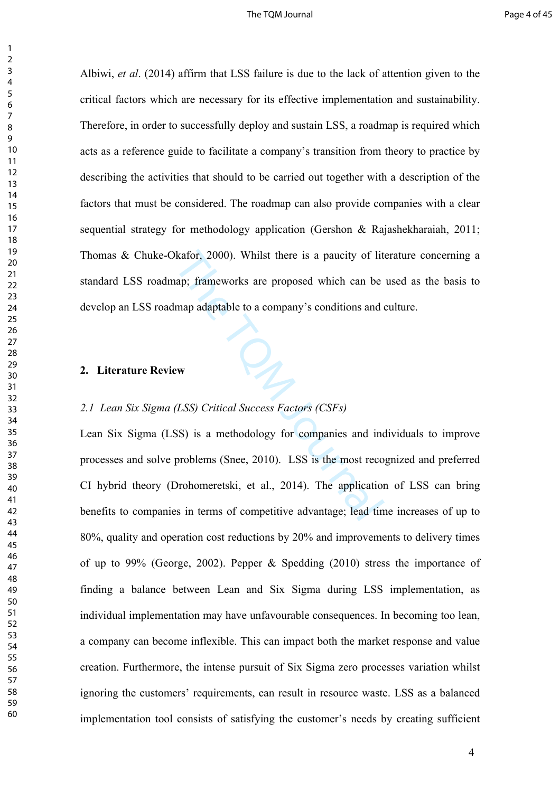Albiwi, *et al*. (2014) affirm that LSS failure is due to the lack of attention given to the critical factors which are necessary for its effective implementation and sustainability. Therefore, in order to successfully deploy and sustain LSS, a roadmap is required which acts as a reference guide to facilitate a company's transition from theory to practice by describing the activities that should to be carried out together with a description of the factors that must be considered. The roadmap can also provide companies with a clear sequential strategy for methodology application (Gershon & Rajashekharaiah, 2011; Thomas & Chuke-Okafor, 2000). Whilst there is a paucity of literature concerning a standard LSS roadmap; frameworks are proposed which can be used as the basis to develop an LSS roadmap adaptable to a company's conditions and culture.

## **2. Literature Review**

## *2.1 Lean Six Sigma (LSS) Critical Success Factors (CSFs)*

We value of lit application. Whilst there is a paucity of lit<br>applicant mapp ataptable to a company's conditions and of<br>map adaptable to a company's conditions and of<br>the mapplicant mapple.<br>EXSIC Critical Success Factors ( Lean Six Sigma (LSS) is a methodology for companies and individuals to improve processes and solve problems (Snee, 2010). LSS is the most recognized and preferred CI hybrid theory (Drohomeretski, et al., 2014). The application of LSS can bring benefits to companies in terms of competitive advantage; lead time increases of up to 80%, quality and operation cost reductions by 20% and improvements to delivery times of up to 99% (George, 2002). Pepper & Spedding (2010) stress the importance of finding a balance between Lean and Six Sigma during LSS implementation, as individual implementation may have unfavourable consequences. In becoming too lean, a company can become inflexible. This can impact both the market response and value creation. Furthermore, the intense pursuit of Six Sigma zero processes variation whilst ignoring the customers' requirements, can result in resource waste. LSS as a balanced implementation tool consists of satisfying the customer's needs by creating sufficient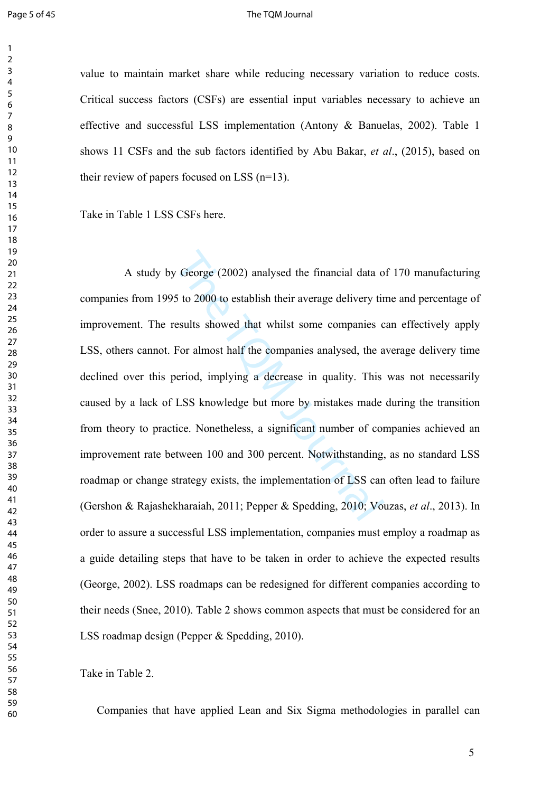value to maintain market share while reducing necessary variation to reduce costs. Critical success factors (CSFs) are essential input variables necessary to achieve an effective and successful LSS implementation (Antony & Banuelas, 2002). Table 1 shows 11 CSFs and the sub factors identified by Abu Bakar, *et al*., (2015), based on their review of papers focused on LSS (n=13).

Take in Table 1 LSS CSFs here.

George (2002) analysed the financial data of to 2000 to establish their average delivery tiresults showed that whilst some companies c For almost half the companies analysed, the a period, implying a decrease in quality. A study by George (2002) analysed the financial data of 170 manufacturing companies from 1995 to 2000 to establish their average delivery time and percentage of improvement. The results showed that whilst some companies can effectively apply LSS, others cannot. For almost half the companies analysed, the average delivery time declined over this period, implying a decrease in quality. This was not necessarily caused by a lack of LSS knowledge but more by mistakes made during the transition from theory to practice. Nonetheless, a significant number of companies achieved an improvement rate between 100 and 300 percent. Notwithstanding, as no standard LSS roadmap or change strategy exists, the implementation of LSS can often lead to failure (Gershon & Rajashekharaiah, 2011; Pepper & Spedding, 2010; Vouzas, *et al*., 2013). In order to assure a successful LSS implementation, companies must employ a roadmap as a guide detailing steps that have to be taken in order to achieve the expected results (George, 2002). LSS roadmaps can be redesigned for different companies according to their needs (Snee, 2010). Table 2 shows common aspects that must be considered for an LSS roadmap design (Pepper & Spedding, 2010).

Take in Table 2.

Companies that have applied Lean and Six Sigma methodologies in parallel can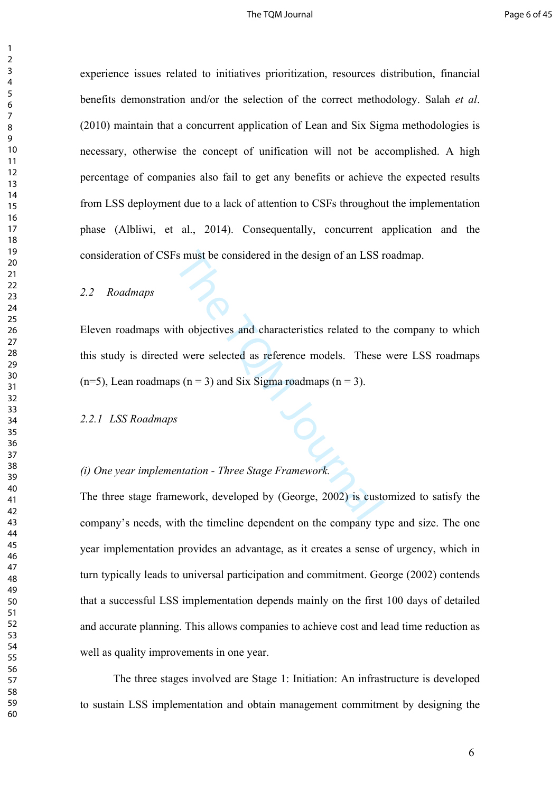#### The TQM Journal **Page 6 of 45**

experience issues related to initiatives prioritization, resources distribution, financial benefits demonstration and/or the selection of the correct methodology. Salah *et al*. (2010) maintain that a concurrent application of Lean and Six Sigma methodologies is necessary, otherwise the concept of unification will not be accomplished. A high percentage of companies also fail to get any benefits or achieve the expected results from LSS deployment due to a lack of attention to CSFs throughout the implementation phase (Albliwi, et al., 2014). Consequentally, concurrent application and the consideration of CSFs must be considered in the design of an LSS roadmap.

#### *2.2 Roadmaps*

 $\mathbf{1}$  $\overline{2}$  $\overline{3}$  $\overline{4}$  $\overline{7}$ 

S must be considered in the design of an LSS r<br>
th objectives and characteristics related to the<br>
d were selected as reference models. These<br>
s (n = 3) and Six Sigma roadmaps (n = 3).<br>
S<br>
s<br>
the metation - Three Stage Fra Eleven roadmaps with objectives and characteristics related to the company to which this study is directed were selected as reference models. These were LSS roadmaps  $(n=5)$ , Lean roadmaps  $(n=3)$  and Six Sigma roadmaps  $(n=3)$ .

## *2.2.1 LSS Roadmaps*

## *(i) One year implementation - Three Stage Framework.*

The three stage framework, developed by (George, 2002) is customized to satisfy the company's needs, with the timeline dependent on the company type and size. The one year implementation provides an advantage, as it creates a sense of urgency, which in turn typically leads to universal participation and commitment. George (2002) contends that a successful LSS implementation depends mainly on the first 100 days of detailed and accurate planning. This allows companies to achieve cost and lead time reduction as well as quality improvements in one year.

The three stages involved are Stage 1: Initiation: An infrastructure is developed to sustain LSS implementation and obtain management commitment by designing the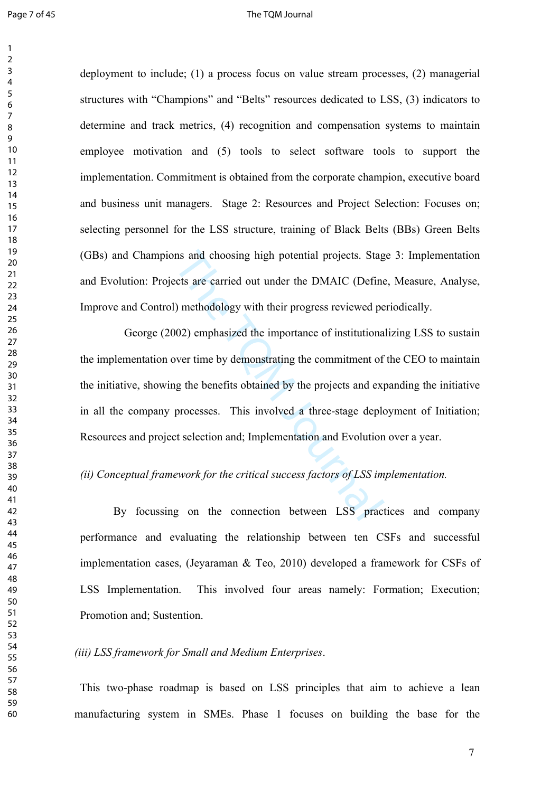#### Page 7 of 45 The TQM Journal

deployment to include; (1) a process focus on value stream processes, (2) managerial structures with "Champions" and "Belts" resources dedicated to LSS, (3) indicators to determine and track metrics, (4) recognition and compensation systems to maintain employee motivation and (5) tools to select software tools to support the implementation. Commitment is obtained from the corporate champion, executive board and business unit managers. Stage 2: Resources and Project Selection: Focuses on; selecting personnel for the LSS structure, training of Black Belts (BBs) Green Belts (GBs) and Champions and choosing high potential projects. Stage 3: Implementation and Evolution: Projects are carried out under the DMAIC (Define, Measure, Analyse, Improve and Control) methodology with their progress reviewed periodically.

not and choosing high potential projects. Stagettes are carried out under the DMAIC (Define<br>
(Define) methodology with their progress reviewed pe<br>
(O2) emphasized the importance of institutiona<br>
(o2) emphasized the importa George (2002) emphasized the importance of institutionalizing LSS to sustain the implementation over time by demonstrating the commitment of the CEO to maintain the initiative, showing the benefits obtained by the projects and expanding the initiative in all the company processes. This involved a three-stage deployment of Initiation; Resources and project selection and; Implementation and Evolution over a year.

## *(ii) Conceptual framework for the critical success factors of LSS implementation.*

By focussing on the connection between LSS practices and company performance and evaluating the relationship between ten CSFs and successful implementation cases, (Jeyaraman & Teo, 2010) developed a framework for CSFs of LSS Implementation. This involved four areas namely: Formation; Execution; Promotion and; Sustention.

#### *(iii) LSS framework for Small and Medium Enterprises* .

This two-phase roadmap is based on LSS principles that aim to achieve a lean manufacturing system in SMEs. Phase 1 focuses on building the base for the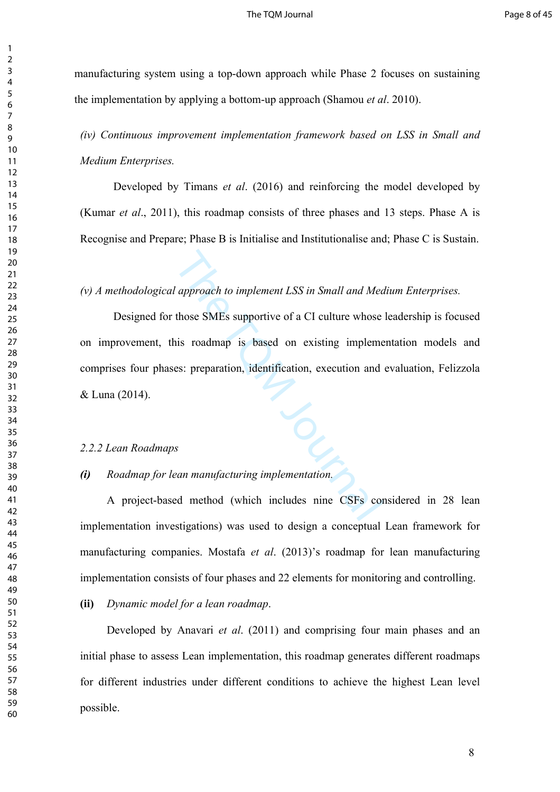manufacturing system using a top-down approach while Phase 2 focuses on sustaining the implementation by applying a bottom-up approach (Shamou *et al*. 2010).

*(iv) Continuous improvement implementation framework based on LSS in Small and Medium Enterprises.* 

Developed by Timans *et al*. (2016) and reinforcing the model developed by (Kumar *et al*., 2011), this roadmap consists of three phases and 13 steps. Phase A is Recognise and Prepare; Phase B is Initialise and Institutionalise and; Phase C is Sustain.

#### *(v) A methodological approach to implement LSS in Small and Medium Enterprises.*

*d* approach to implement *LSS* in *Small and Mea*<br>those SMEs supportive of a CI culture whose<br>is roadmap is based on existing impleme<br>es: preparation, identification, execution and<br>sean manufacturing implementation.<br>ed me Designed for those SMEs supportive of a CI culture whose leadership is focused on improvement, this roadmap is based on existing implementation models and comprises four phases: preparation, identification, execution and evaluation, Felizzola & Luna (2014).

#### *2.2.2 Lean Roadmaps*

## *(i) Roadmap for lean manufacturing implementation.*

A project-based method (which includes nine CSFs considered in 28 lean implementation investigations) was used to design a conceptual Lean framework for manufacturing companies. Mostafa *et al*. (2013)'s roadmap for lean manufacturing implementation consists of four phases and 22 elements for monitoring and controlling.

## **(ii)** *Dynamic model for a lean roadmap*.

Developed by Anavari *et al*. (2011) and comprising four main phases and an initial phase to assess Lean implementation, this roadmap generates different roadmaps for different industries under different conditions to achieve the highest Lean level possible.

 $\mathbf{1}$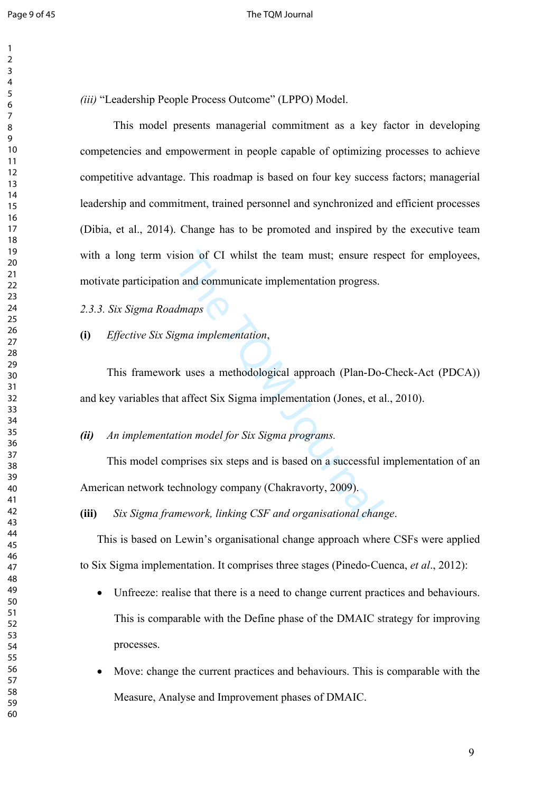#### Page 9 of 45 The TQM Journal

*(iii)* "Leadership People Process Outcome" (LPPO) Model.

sion of CI whilst the team must; ensure res<br>
n and communicate implementation progress.<br> *dmaps*<br>
gma implementation,<br>
k uses a methodological approach (Plan-Do-<br>
affect Six Sigma implementation (Jones, et a<br> *tion model f* This model presents managerial commitment as a key factor in developing competencies and empowerment in people capable of optimizing processes to achieve competitive advantage. This roadmap is based on four key success factors; managerial leadership and commitment, trained personnel and synchronized and efficient processes (Dibia, et al., 2014). Change has to be promoted and inspired by the executive team with a long term vision of CI whilst the team must; ensure respect for employees, motivate participation and communicate implementation progress.

*2.3.3. Six Sigma Roadmaps* 

### **(i)** *Effective Six Sigma implementation* ,

This framework uses a methodological approach (Plan-Do-Check-Act (PDCA)) and key variables that affect Six Sigma implementation (Jones, et al., 2010).

*(ii) An implementation model for Six Sigma programs.*

This model comprises six steps and is based on a successful implementation of an American network technology company (Chakravorty, 2009).

**(iii)** *Six Sigma framework, linking CSF and organisational change* .

This is based on Lewin's organisational change approach where CSFs were applied to Six Sigma implementation. It comprises three stages (Pinedo ‐Cuenca, *et al*., 2012):

- Unfreeze: realise that there is a need to change current practices and behaviours. This is comparable with the Define phase of the DMAIC strategy for improving processes.
- Move: change the current practices and behaviours. This is comparable with the Measure, Analyse and Improvement phases of DMAIC.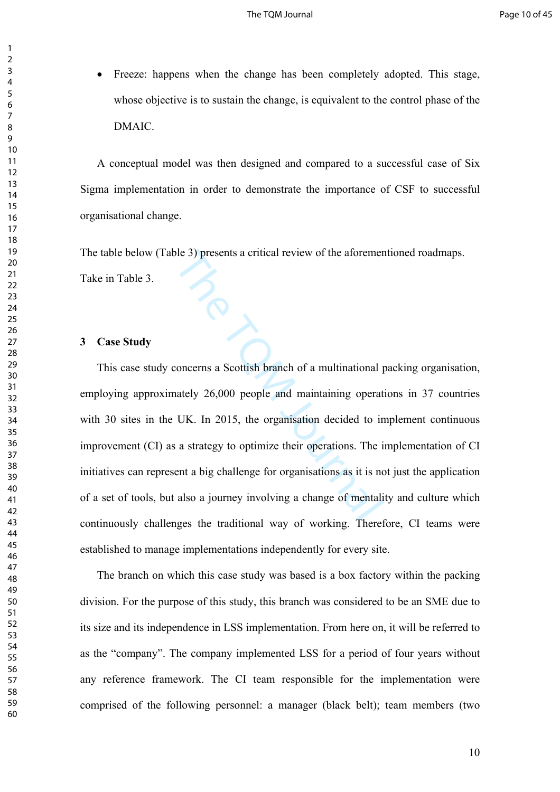Freeze: happens when the change has been completely adopted. This stage, whose objective is to sustain the change, is equivalent to the control phase of the DMAIC.

A conceptual model was then designed and compared to a successful case of Six Sigma implementation in order to demonstrate the importance of CSF to successful organisational change.

The table below (Table 3) presents a critical review of the aforementioned roadmaps. Take in Table 3.

#### **3 Case Study**

ble 3) presents a critical review of the aforemer<br>concerns a Scottish branch of a multinational p<br>nately 26,000 people and maintaining operat<br>UK. In 2015, the organisation decided to in<br>a strategy to optimize their operati This case study concerns a Scottish branch of a multinational packing organisation, employing approximately 26,000 people and maintaining operations in 37 countries with 30 sites in the UK. In 2015, the organisation decided to implement continuous improvement (CI) as a strategy to optimize their operations. The implementation of CI initiatives can represent a big challenge for organisations as it is not just the application of a set of tools, but also a journey involving a change of mentality and culture which continuously challenges the traditional way of working. Therefore, CI teams were established to manage implementations independently for every site.

The branch on which this case study was based is a box factory within the packing division. For the purpose of this study, this branch was considered to be an SME due to its size and its independence in LSS implementation. From here on, it will be referred to as the "company". The company implemented LSS for a period of four years without any reference framework. The CI team responsible for the implementation were comprised of the following personnel: a manager (black belt); team members (two

 $\mathbf{1}$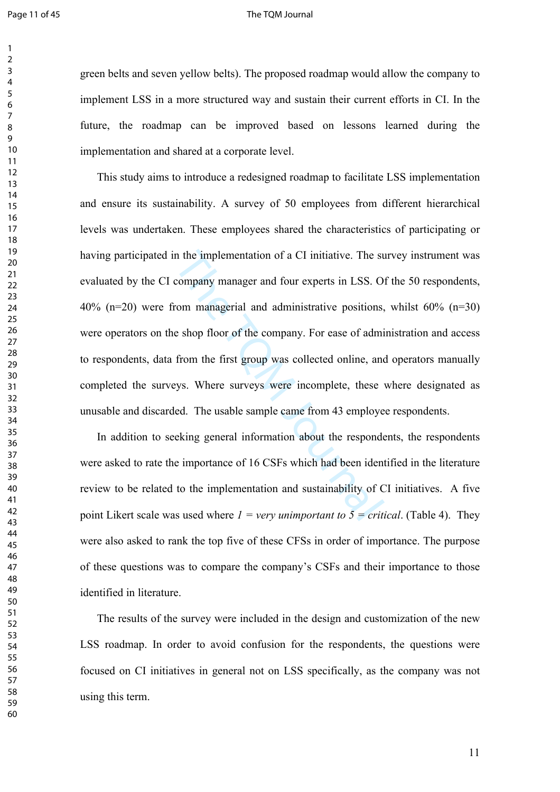#### Page 11 of 45 The TQM Journal

green belts and seven yellow belts). The proposed roadmap would allow the company to implement LSS in a more structured way and sustain their current efforts in CI. In the future, the roadmap can be improved based on lessons learned during the implementation and shared at a corporate level.

In the implementation of a CI initiative. The su<br>company manager and four experts in LSS. O<br>com managerial and administrative positions,<br>e shop floor of the company. For ease of admi<br>from the first group was collected onl This study aims to introduce a redesigned roadmap to facilitate LSS implementation and ensure its sustainability. A survey of 50 employees from different hierarchical levels was undertaken. These employees shared the characteristics of participating or having participated in the implementation of a CI initiative. The survey instrument was evaluated by the CI company manager and four experts in LSS. Of the 50 respondents, 40% (n=20) were from managerial and administrative positions, whilst 60% (n=30) were operators on the shop floor of the company. For ease of administration and access to respondents, data from the first group was collected online, and operators manually completed the surveys. Where surveys were incomplete, these where designated as unusable and discarded. The usable sample came from 43 employee respondents.

In addition to seeking general information about the respondents, the respondents were asked to rate the importance of 16 CSFs which had been identified in the literature review to be related to the implementation and sustainability of CI initiatives. A five point Likert scale was used where  $I = very unimportant to 5 = critical.$  (Table 4). They were also asked to rank the top five of these CFSs in order of importance. The purpose of these questions was to compare the company's CSFs and their importance to those identified in literature.

The results of the survey were included in the design and customization of the new LSS roadmap. In order to avoid confusion for the respondents, the questions were focused on CI initiatives in general not on LSS specifically, as the company was not using this term.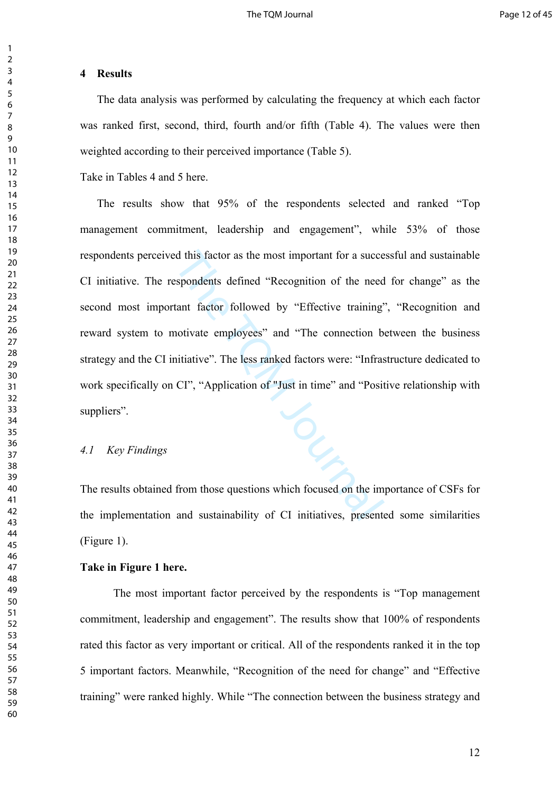#### **4 Results**

The data analysis was performed by calculating the frequency at which each factor was ranked first, second, third, fourth and/or fifth (Table 4). The values were then weighted according to their perceived importance (Table 5).

Take in Tables 4 and 5 here.

d this factor as the most important for a succe<br>spondents defined "Recognition of the need<br>tant factor followed by "Effective training"<br>notivate employees" and "The connection b<br>nitiative". The less ranked factors were: "I The results show that 95% of the respondents selected and ranked "Top management commitment, leadership and engagement", while 53% of those respondents perceived this factor as the most important for a successful and sustainable CI initiative. The respondents defined "Recognition of the need for change" as the second most important factor followed by "Effective training", "Recognition and reward system to motivate employees" and "The connection between the business strategy and the CI initiative". The less ranked factors were: "Infrastructure dedicated to work specifically on CI", "Application of "Just in time" and "Positive relationship with suppliers".

## *4.1 Key Findings*

The results obtained from those questions which focused on the importance of CSFs for the implementation and sustainability of CI initiatives, presented some similarities (Figure 1).

#### **Take in Figure 1 here.**

The most important factor perceived by the respondents is "Top management commitment, leadership and engagement". The results show that 100% of respondents rated this factor as very important or critical. All of the respondents ranked it in the top 5 important factors. Meanwhile, "Recognition of the need for change" and "Effective training" were ranked highly. While "The connection between the business strategy and

 $\mathbf{1}$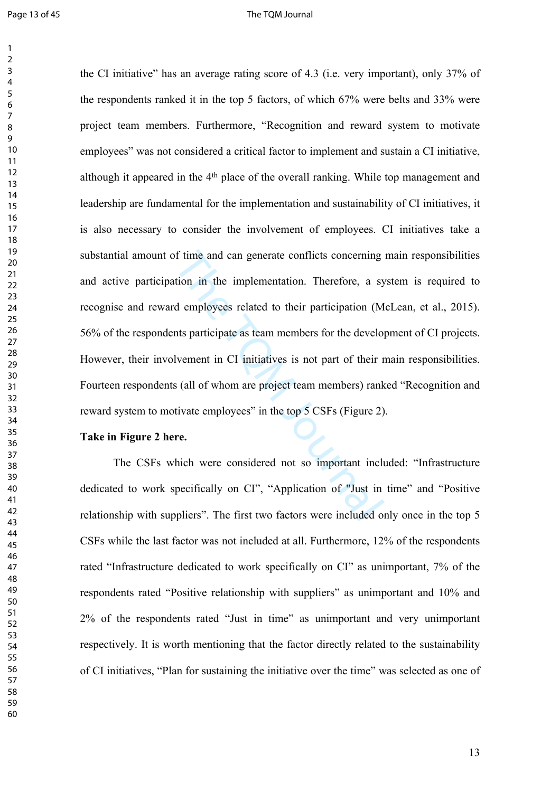#### Page 13 of 45 The TQM Journal

of time and can generate conflicts concerning<br>tion in the implementation. Therefore, a sy<br>d employees related to their participation (M<br>nts participate as team members for the develop<br>lvement in CI initiatives is not part the CI initiative" has an average rating score of 4.3 (i.e. very important), only 37% of the respondents ranked it in the top 5 factors, of which 67% were belts and 33% were project team members. Furthermore, "Recognition and reward system to motivate employees" was not considered a critical factor to implement and sustain a CI initiative, although it appeared in the 4th place of the overall ranking. While top management and leadership are fundamental for the implementation and sustainability of CI initiatives, it is also necessary to consider the involvement of employees. CI initiatives take a substantial amount of time and can generate conflicts concerning main responsibilities and active participation in the implementation. Therefore, a system is required to recognise and reward employees related to their participation (McLean, et al., 2015). 56% of the respondents participate as team members for the development of CI projects. However, their involvement in CI initiatives is not part of their main responsibilities. Fourteen respondents (all of whom are project team members) ranked "Recognition and reward system to motivate employees" in the top 5 CSFs (Figure 2).

## **Take in Figure 2 here.**

The CSFs which were considered not so important included: "Infrastructure dedicated to work specifically on CI", "Application of "Just in time" and "Positive relationship with suppliers". The first two factors were included only once in the top 5 CSFs while the last factor was not included at all. Furthermore, 12% of the respondents rated "Infrastructure dedicated to work specifically on CI" as unimportant, 7% of the respondents rated "Positive relationship with suppliers" as unimportant and 10% and 2% of the respondents rated "Just in time" as unimportant and very unimportant respectively. It is worth mentioning that the factor directly related to the sustainability of CI initiatives, "Plan for sustaining the initiative over the time" was selected as one of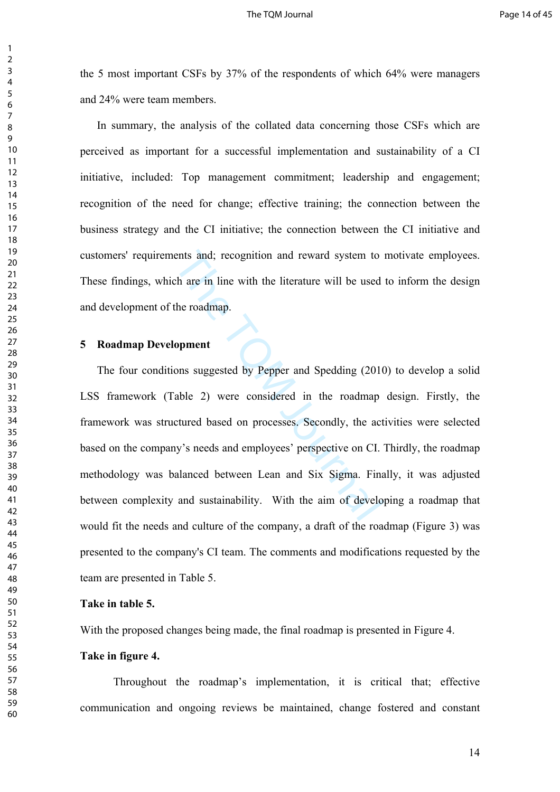the 5 most important CSFs by 37% of the respondents of which 64% were managers and 24% were team members.

In summary, the analysis of the collated data concerning those CSFs which are perceived as important for a successful implementation and sustainability of a CI initiative, included: Top management commitment; leadership and engagement; recognition of the need for change; effective training; the connection between the business strategy and the CI initiative; the connection between the CI initiative and customers' requirements and; recognition and reward system to motivate employees. These findings, which are in line with the literature will be used to inform the design and development of the roadmap.

## **5 Roadmap Development**

 $\mathbf{1}$  $\overline{2}$  $\overline{3}$  $\overline{4}$  $\overline{7}$ 

ents and; recognition and reward system to<br>th are in line with the literature will be used<br>the roadmap.<br>**opment**<br>ons suggested by Pepper and Spedding (2010<br>able 2) were considered in the roadmap<br>ctured based on processes. The four conditions suggested by Pepper and Spedding (2010) to develop a solid LSS framework (Table 2) were considered in the roadmap design. Firstly, the framework was structured based on processes. Secondly, the activities were selected based on the company's needs and employees' perspective on CI. Thirdly, the roadmap methodology was balanced between Lean and Six Sigma. Finally, it was adjusted between complexity and sustainability. With the aim of developing a roadmap that would fit the needs and culture of the company, a draft of the roadmap (Figure 3) was presented to the company's CI team. The comments and modifications requested by the team are presented in Table 5.

## **Take in table 5.**

With the proposed changes being made, the final roadmap is presented in Figure 4.

## **Take in figure 4.**

Throughout the roadmap's implementation, it is critical that; effective communication and ongoing reviews be maintained, change fostered and constant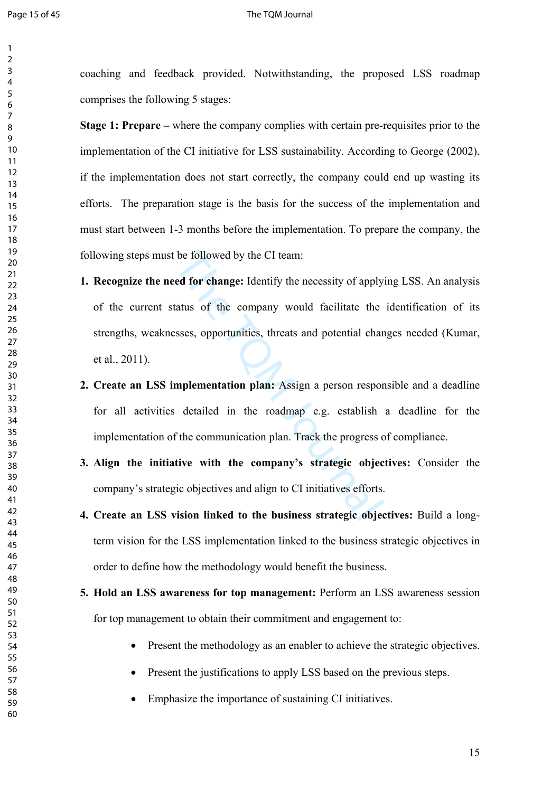#### Page 15 of 45 The TQM Journal

coaching and feedback provided. Notwithstanding, the proposed LSS roadmap comprises the following 5 stages:

**Stage 1: Prepare** – where the company complies with certain pre-requisites prior to the implementation of the CI initiative for LSS sustainability. According to George (2002), if the implementation does not start correctly, the company could end up wasting its efforts. The preparation stage is the basis for the success of the implementation and must start between 1-3 months before the implementation. To prepare the company, the following steps must be followed by the CI team:

- be followed by the CI team:<br>
ed for change: Identify the necessity of apply<br>
tatus of the company would facilitate the<br>
sses, opportunities, threats and potential chan<br>
mplementation plan: Assign a person respor<br>
detailed **1. Recognize the need for change:** Identify the necessity of applying LSS. An analysis of the current status of the company would facilitate the identification of its strengths, weaknesses, opportunities, threats and potential changes needed (Kumar, et al., 2011).
- **2. Create an LSS implementation plan:** Assign a person responsible and a deadline for all activities detailed in the roadmap e.g. establish a deadline for the implementation of the communication plan. Track the progress of compliance.
- **3. Align the initiative with the company's strategic objectives:** Consider the company's strategic objectives and align to CI initiatives efforts.
- **4. Create an LSS vision linked to the business strategic objectives:** Build a longterm vision for the LSS implementation linked to the business strategic objectives in order to define how the methodology would benefit the business.
- **5. Hold an LSS awareness for top management:** Perform an LSS awareness session for top management to obtain their commitment and engagement to:
	- Present the methodology as an enabler to achieve the strategic objectives.
	- Present the justifications to apply LSS based on the previous steps.
	- Emphasize the importance of sustaining CI initiatives.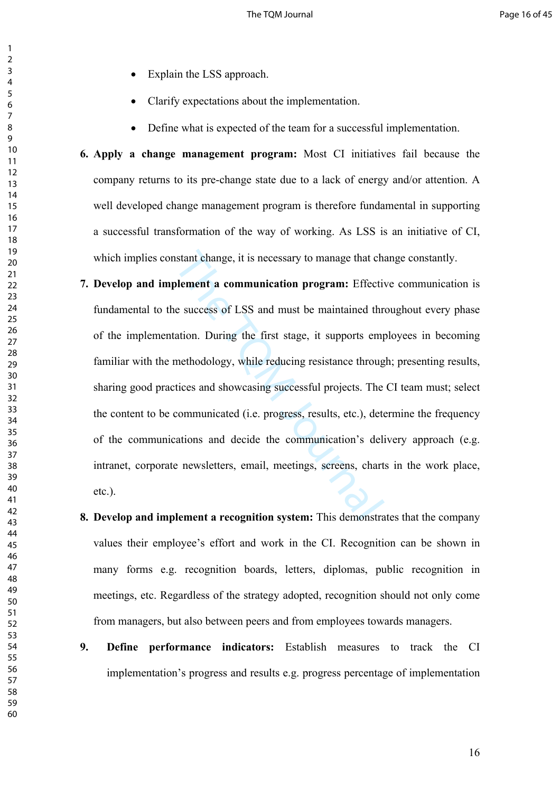• Explain the LSS approach.

 $\mathbf{1}$  $\overline{2}$  $\overline{3}$  $\overline{4}$  $\overline{7}$ 

- Clarify expectations about the implementation.
- Define what is expected of the team for a successful implementation.
- **6. Apply a change management program:** Most CI initiatives fail because the company returns to its pre-change state due to a lack of energy and/or attention. A well developed change management program is therefore fundamental in supporting a successful transformation of the way of working. As LSS is an initiative of CI, which implies constant change, it is necessary to manage that change constantly.
- Instant change, it is necessary to manage that change that change and **a communication program:** Effective success of LSS and must be maintained thr ation. During the first stage, it supports emperthodology, while reducing **7. Develop and implement a communication program:** Effective communication is fundamental to the success of LSS and must be maintained throughout every phase of the implementation. During the first stage, it supports employees in becoming familiar with the methodology, while reducing resistance through; presenting results, sharing good practices and showcasing successful projects. The CI team must; select the content to be communicated (i.e. progress, results, etc.), determine the frequency of the communications and decide the communication's delivery approach (e.g. intranet, corporate newsletters, email, meetings, screens, charts in the work place, etc.).
- **8. Develop and implement a recognition system:** This demonstrates that the company values their employee's effort and work in the CI. Recognition can be shown in many forms e.g. recognition boards, letters, diplomas, public recognition in meetings, etc. Regardless of the strategy adopted, recognition should not only come from managers, but also between peers and from employees towards managers.
- **9. Define performance indicators:** Establish measures to track the CI implementation's progress and results e.g. progress percentage of implementation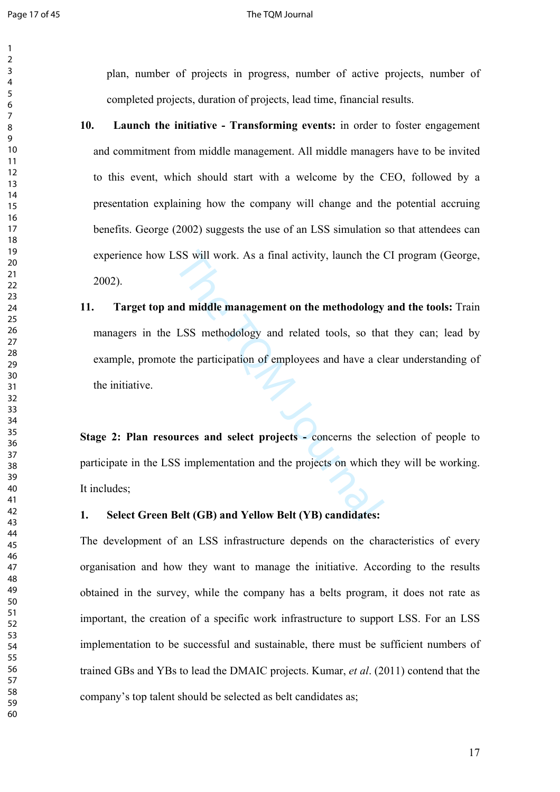#### Page 17 of 45 The TQM Journal

plan, number of projects in progress, number of active projects, number of completed projects, duration of projects, lead time, financial results.

- **10. Launch the initiative Transforming events:** in order to foster engagement and commitment from middle management. All middle managers have to be invited to this event, which should start with a welcome by the CEO, followed by a presentation explaining how the company will change and the potential accruing benefits. George (2002) suggests the use of an LSS simulation so that attendees can experience how LSS will work. As a final activity, launch the CI program (George, 2002).
- SS will work. As a final activity, launch the order of multipled management on the methodology<br>LSS methodology and related tools, so that<br>the participation of employees and have a cl<br>urces and select projects concerns th **11. Target top and middle management on the methodology and the tools:** Train managers in the LSS methodology and related tools, so that they can; lead by example, promote the participation of employees and have a clear understanding of the initiative.

**Stage 2: Plan resources and select projects -** concerns the selection of people to participate in the LSS implementation and the projects on which they will be working. It includes;

#### **1. Select Green Belt (GB) and Yellow Belt (YB) candidates:**

The development of an LSS infrastructure depends on the characteristics of every organisation and how they want to manage the initiative. According to the results obtained in the survey, while the company has a belts program, it does not rate as important, the creation of a specific work infrastructure to support LSS. For an LSS implementation to be successful and sustainable, there must be sufficient numbers of trained GBs and YBs to lead the DMAIC projects. Kumar, *et al*. (2011) contend that the company's top talent should be selected as belt candidates as;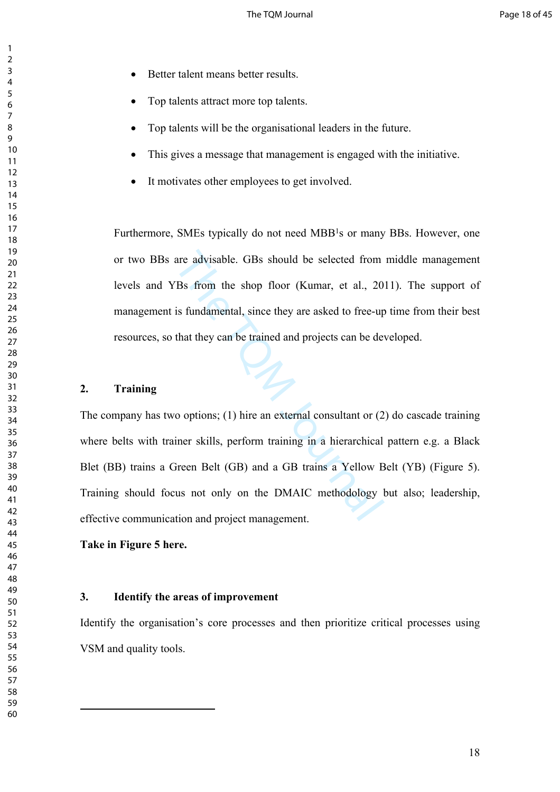- Better talent means better results.
- Top talents attract more top talents.
- Top talents will be the organisational leaders in the future.
- This gives a message that management is engaged with the initiative.
- It motivates other employees to get involved.

Furthermore, SMEs typically do not need MBB<sup>1</sup>s or many BBs. However, one or two BBs are advisable. GBs should be selected from middle management levels and YBs from the shop floor (Kumar, et al., 2011). The support of management is fundamental, since they are asked to free-up time from their best resources, so that they can be trained and projects can be developed.

## **2. Training**

are advisable. GBs should be selected from<br>Bs from the shop floor (Kumar, et al., 20<br>is fundamental, since they are asked to free-up<br>that they can be trained and projects can be de-<br>that they can be trained and projects ca The company has two options; (1) hire an external consultant or (2) do cascade training where belts with trainer skills, perform training in a hierarchical pattern e.g. a Black Blet (BB) trains a Green Belt (GB) and a GB trains a Yellow Belt (YB) (Figure 5). Training should focus not only on the DMAIC methodology but also; leadership, effective communication and project management.

**Take in Figure 5 here.**

### **3. Identify the areas of improvement**

Identify the organisation's core processes and then prioritize critical processes using VSM and quality tools.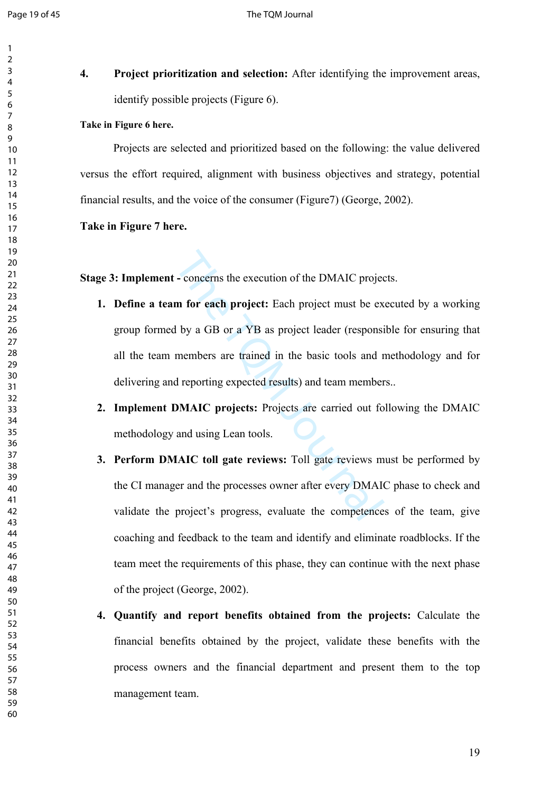**4. Project prioritization and selection:** After identifying the improvement areas, identify possible projects (Figure 6).

#### **Take in Figure 6 here.**

Projects are selected and prioritized based on the following: the value delivered versus the effort required, alignment with business objectives and strategy, potential financial results, and the voice of the consumer (Figure7) (George, 2002).

**Take in Figure 7 here.**

**Stage 3: Implement - concerns the execution of the DMAIC projects.** 

- concerns the execution of the DMAIC project<br> **m** for each project: Each project must be ex<br>
1 by a GB or a YB as project leader (responsi<br>
members are trained in the basic tools and r<br>
d reporting expected results) and t **1. Define a team for each project:** Each project must be executed by a working group formed by a GB or a YB as project leader (responsible for ensuring that all the team members are trained in the basic tools and methodology and for delivering and reporting expected results) and team members..
- **2. Implement DMAIC projects:** Projects are carried out following the DMAIC methodology and using Lean tools.
- **3. Perform DMAIC toll gate reviews:** Toll gate reviews must be performed by the CI manager and the processes owner after every DMAIC phase to check and validate the project's progress, evaluate the competences of the team, give coaching and feedback to the team and identify and eliminate roadblocks. If the team meet the requirements of this phase, they can continue with the next phase of the project (George, 2002).
- **4. Quantify and report benefits obtained from the projects:** Calculate the financial benefits obtained by the project, validate these benefits with the process owners and the financial department and present them to the top management team.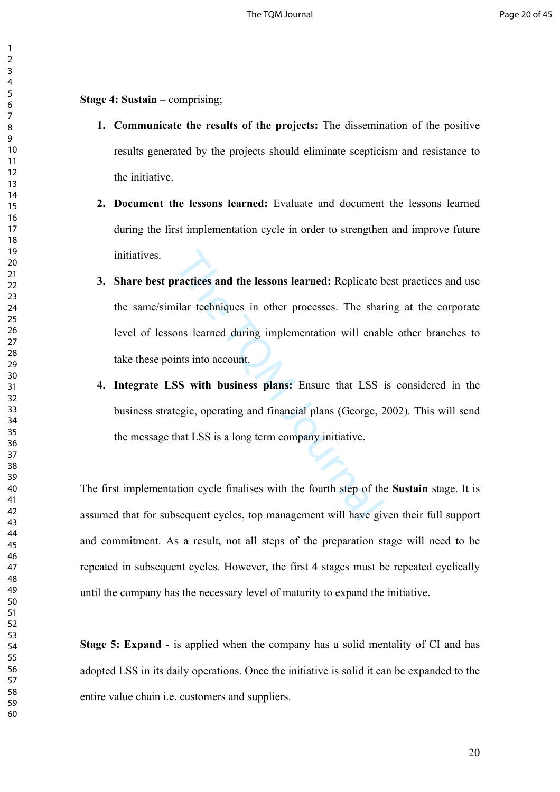$\mathbf{1}$ 

**Stage 4: Sustain –** comprising;

- **1. Communicate the results of the projects:** The dissemination of the positive results generated by the projects should eliminate scepticism and resistance to the initiative.
- **2. Document the lessons learned:** Evaluate and document the lessons learned during the first implementation cycle in order to strengthen and improve future initiatives.
- ractices and the lessons learned: Replicate b<br>
ilar techniques in other processes. The shar<br>
ons learned during implementation will enab<br>
ints into account.<br>
SS with business plans: Ensure that LSS<br>
is egic, operating and **3. Share best practices and the lessons learned:** Replicate best practices and use the same/similar techniques in other processes. The sharing at the corporate level of lessons learned during implementation will enable other branches to take these points into account.
- **4. Integrate LSS with business plans:** Ensure that LSS is considered in the business strategic, operating and financial plans (George, 2002). This will send the message that LSS is a long term company initiative.

The first implementation cycle finalises with the fourth step of the **Sustain** stage. It is assumed that for subsequent cycles, top management will have given their full support and commitment. As a result, not all steps of the preparation stage will need to be repeated in subsequent cycles. However, the first 4 stages must be repeated cyclically until the company has the necessary level of maturity to expand the initiative.

**Stage 5: Expand** - is applied when the company has a solid mentality of CI and has adopted LSS in its daily operations. Once the initiative is solid it can be expanded to the entire value chain i.e. customers and suppliers.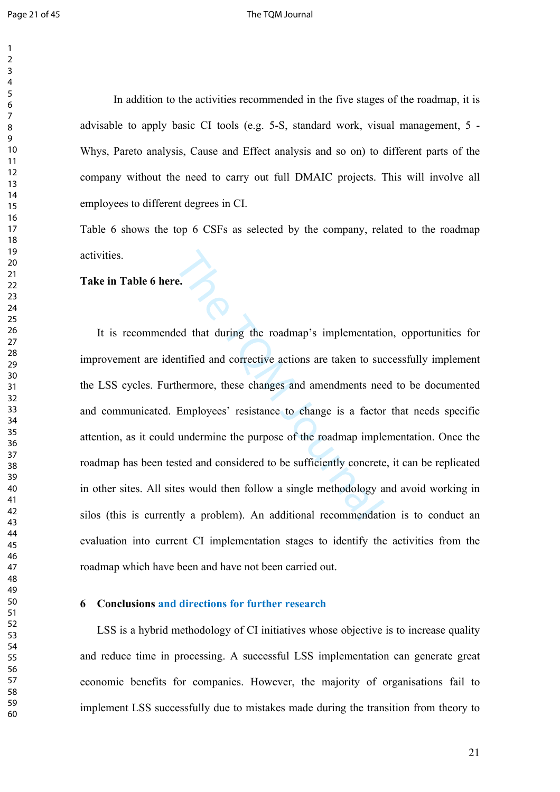#### Page 21 of 45 The TQM Journal

In addition to the activities recommended in the five stages of the roadmap, it is advisable to apply basic CI tools (e.g. 5-S, standard work, visual management, 5 - Whys, Pareto analysis, Cause and Effect analysis and so on) to different parts of the company without the need to carry out full DMAIC projects. This will involve all employees to different degrees in CI.

Table 6 shows the top 6 CSFs as selected by the company, related to the roadmap activities.

**Take in Table 6 here.**

e.<br>
<br>
e.<br>
<br>
led that during the roadmap's implementatic<br>
mtified and corrective actions are taken to such<br>
thermore, these changes and amendments need<br>
Employees' resistance to change is a factor<br>
undermine the purpose of It is recommended that during the roadmap's implementation, opportunities for improvement are identified and corrective actions are taken to successfully implement the LSS cycles. Furthermore, these changes and amendments need to be documented and communicated. Employees' resistance to change is a factor that needs specific attention, as it could undermine the purpose of the roadmap implementation. Once the roadmap has been tested and considered to be sufficiently concrete, it can be replicated in other sites. All sites would then follow a single methodology and avoid working in silos (this is currently a problem). An additional recommendation is to conduct an evaluation into current CI implementation stages to identify the activities from the roadmap which have been and have not been carried out.

## **6 Conclusions and directions for further research**

LSS is a hybrid methodology of CI initiatives whose objective is to increase quality and reduce time in processing. A successful LSS implementation can generate great economic benefits for companies. However, the majority of organisations fail to implement LSS successfully due to mistakes made during the transition from theory to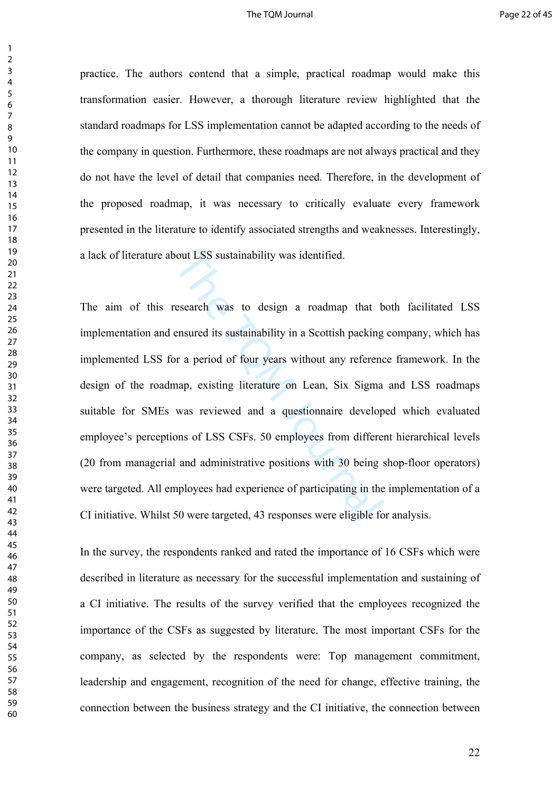#### The TQM Journal **Page 22 of 45**

practice. The authors contend that a simple, practical roadmap would make this transformation easier. However, a thorough literature review highlighted that the standard roadmaps for LSS implementation cannot be adapted according to the needs of the company in question. Furthermore, these roadmaps are not always practical and they do not have the level of detail that companies need. Therefore, in the development of the proposed roadmap, it was necessary to critically evaluate every framework presented in the literature to identify associated strengths and weaknesses. Interestingly, a lack of literature about LSS sustainability was identified.

oout LSS sustainability was identified.<br>
esearch was to design a roadmap that b<br>
ensured its sustainability in a Scottish packing<br>
or a period of four years without any referenc<br>
nap, existing literature on Lean, Six Sigma The aim of this research was to design a roadmap that both facilitated LSS implementation and ensured its sustainability in a Scottish packing company, which has implemented LSS for a period of four years without any reference framework. In the design of the roadmap, existing literature on Lean, Six Sigma and LSS roadmaps suitable for SMEs was reviewed and a questionnaire developed which evaluated employee's perceptions of LSS CSFs. 50 employees from different hierarchical levels (20 from managerial and administrative positions with 30 being shop-floor operators) were targeted. All employees had experience of participating in the implementation of a CI initiative. Whilst 50 were targeted, 43 responses were eligible for analysis.

In the survey, the respondents ranked and rated the importance of 16 CSFs which were described in literature as necessary for the successful implementation and sustaining of a CI initiative. The results of the survey verified that the employees recognized the importance of the CSFs as suggested by literature. The most important CSFs for the company, as selected by the respondents were: Top management commitment, leadership and engagement, recognition of the need for change, effective training, the connection between the business strategy and the CI initiative, the connection between

 $\mathbf{1}$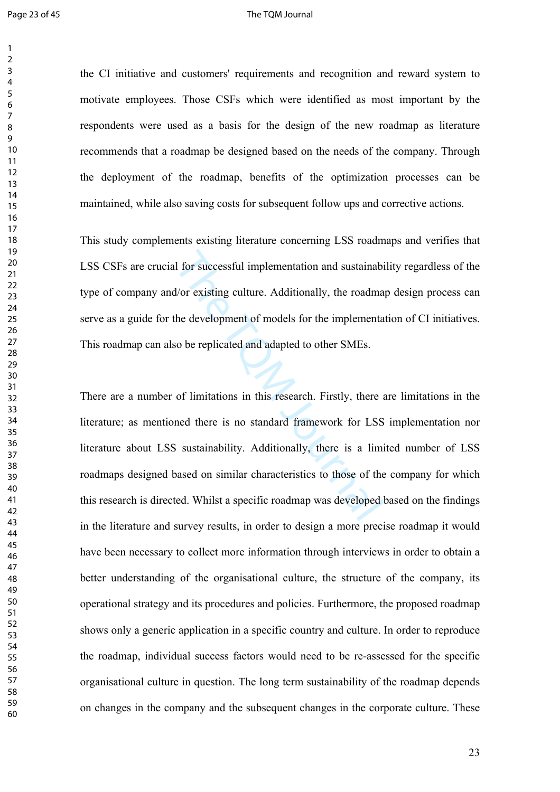$\mathbf{1}$  $\overline{2}$ 

#### Page 23 of 45 The TQM Journal

the CI initiative and customers' requirements and recognition and reward system to motivate employees. Those CSFs which were identified as most important by the respondents were used as a basis for the design of the new roadmap as literature recommends that a roadmap be designed based on the needs of the company. Through the deployment of the roadmap, benefits of the optimization processes can be maintained, while also saving costs for subsequent follow ups and corrective actions.

This study complements existing literature concerning LSS roadmaps and verifies that LSS CSFs are crucial for successful implementation and sustainability regardless of the type of company and/or existing culture. Additionally, the roadmap design process can serve as a guide for the development of models for the implementation of CI initiatives. This roadmap can also be replicated and adapted to other SMEs.

I for successful implementation and sustainabid<br>
I for existing culture. Additionally, the roadma<br>
the development of models for the implementa<br>
so be replicated and adapted to other SMEs.<br>
of limitations in this research. There are a number of limitations in this research. Firstly, there are limitations in the literature; as mentioned there is no standard framework for LSS implementation nor literature about LSS sustainability. Additionally, there is a limited number of LSS roadmaps designed based on similar characteristics to those of the company for which this research is directed. Whilst a specific roadmap was developed based on the findings in the literature and survey results, in order to design a more precise roadmap it would have been necessary to collect more information through interviews in order to obtain a better understanding of the organisational culture, the structure of the company, its operational strategy and its procedures and policies. Furthermore, the proposed roadmap shows only a generic application in a specific country and culture. In order to reproduce the roadmap, individual success factors would need to be re-assessed for the specific organisational culture in question. The long term sustainability of the roadmap depends on changes in the company and the subsequent changes in the corporate culture. These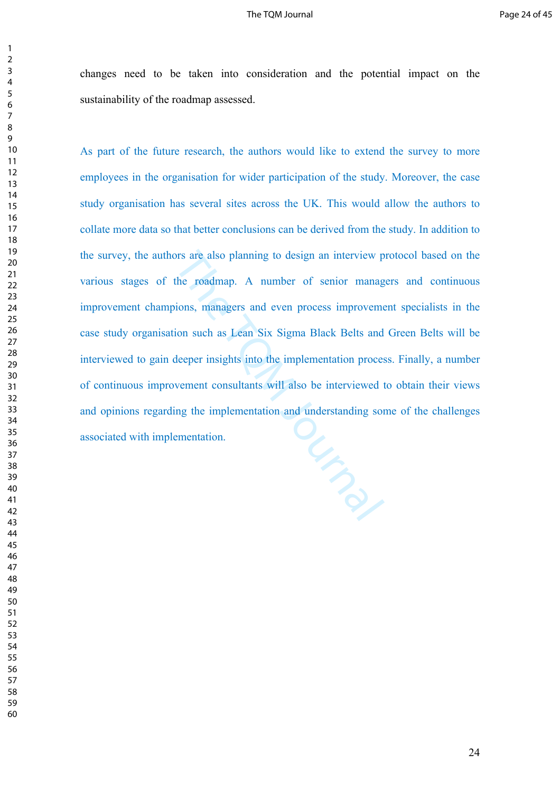changes need to be taken into consideration and the potential impact on the sustainability of the roadmap assessed.

THE TOWN As part of the future research, the authors would like to extend the survey to more employees in the organisation for wider participation of the study. Moreover, the case study organisation has several sites across the UK. This would allow the authors to collate more data so that better conclusions can be derived from the study. In addition to the survey, the authors are also planning to design an interview protocol based on the various stages of the roadmap. A number of senior managers and continuous improvement champions, managers and even process improvement specialists in the case study organisation such as Lean Six Sigma Black Belts and Green Belts will be interviewed to gain deeper insights into the implementation process. Finally, a number of continuous improvement consultants will also be interviewed to obtain their views and opinions regarding the implementation and understanding some of the challenges associated with implementation.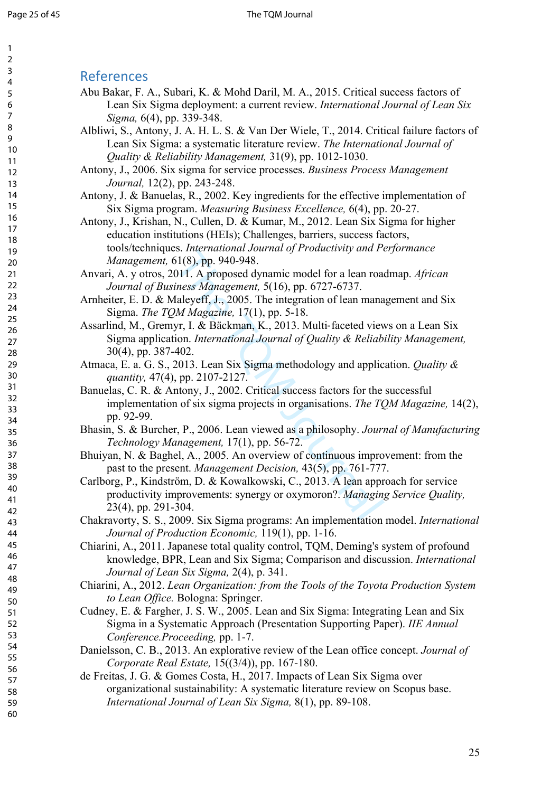59 60

## References

- Abu Bakar, F. A., Subari, K. & Mohd Daril, M. A., 2015. Critical success factors of Lean Six Sigma deployment: a current review. *International Journal of Lean Six Sigma,* 6(4), pp. 339-348.
- Albliwi, S., Antony, J. A. H. L. S. & Van Der Wiele, T., 2014. Critical failure factors of Lean Six Sigma: a systematic literature review. *The International Journal of Quality & Reliability Management,* 31(9), pp. 1012-1030.
- Antony, J., 2006. Six sigma for service processes. *Business Process Management Journal,* 12(2), pp. 243-248.
- Antony, J. & Banuelas, R., 2002. Key ingredients for the effective implementation of Six Sigma program. *Measuring Business Excellence,* 6(4), pp. 20-27.
- Antony, J., Krishan, N., Cullen, D. & Kumar, M., 2012. Lean Six Sigma for higher education institutions (HEIs); Challenges, barriers, success factors, tools/techniques. *International Journal of Productivity and Performance Management,* 61(8), pp. 940-948.
- Anvari, A. y otros, 2011. A proposed dynamic model for a lean roadmap. *African Journal of Business Management,* 5(16), pp. 6727-6737.
- Arnheiter, E. D. & Maleyeff, J., 2005. The integration of lean management and Six Sigma. *The TQM Magazine,* 17(1), pp. 5-18.
- Assarlind, M., Gremyr, I. & Bäckman, K., 2013. Multi ‐faceted views on a Lean Six Sigma application. *International Journal of Quality & Reliability Management,*  30(4), pp. 387-402.
- Atmaca, E. a. G. S., 2013. Lean Six Sigma methodology and application. *Quality & quantity,* 47(4), pp. 2107-2127.
- Banuelas, C. R. & Antony, J., 2002. Critical success factors for the successful implementation of six sigma projects in organisations. *The TQM Magazine,* 14(2), pp. 92-99.
- Bhasin, S. & Burcher, P., 2006. Lean viewed as a philosophy. *Journal of Manufacturing Technology Management,* 17(1), pp. 56-72.
- Bhuiyan, N. & Baghel, A., 2005. An overview of continuous improvement: from the past to the present. *Management Decision,* 43(5), pp. 761-777.
- 51(8), pp. 940-948.<br>
11(8), pp. 940-948.<br>
11. A proposed dynamic model for a lean road<br>
iness Management, 5(16), pp. 6727-6737.<br>
Ialeyeff, J., 2005. The integration of lean mana<br>
M Magazine, 17(1), pp. 5-18.<br>
yr, I. & Bäc Carlborg, P., Kindström, D. & Kowalkowski, C., 2013. A lean approach for service productivity improvements: synergy or oxymoron?. *Managing Service Quality,*  23(4), pp. 291-304.
- Chakravorty, S. S., 2009. Six Sigma programs: An implementation model. *International Journal of Production Economic,* 119(1), pp. 1-16.
- Chiarini, A., 2011. Japanese total quality control, TQM, Deming's system of profound knowledge, BPR, Lean and Six Sigma; Comparison and discussion. *International Journal of Lean Six Sigma,* 2(4), p. 341.
- Chiarini, A., 2012. *Lean Organization: from the Tools of the Toyota Production System to Lean Office.* Bologna: Springer.
- Cudney, E. & Fargher, J. S. W., 2005. Lean and Six Sigma: Integrating Lean and Six Sigma in a Systematic Approach (Presentation Supporting Paper). *IIE Annual Conference.Proceeding,* pp. 1-7.
- Danielsson, C. B., 2013. An explorative review of the Lean office concept. *Journal of Corporate Real Estate,* 15((3/4)), pp. 167-180.
- de Freitas, J. G. & Gomes Costa, H., 2017. Impacts of Lean Six Sigma over organizational sustainability: A systematic literature review on Scopus base. *International Journal of Lean Six Sigma,* 8(1), pp. 89-108.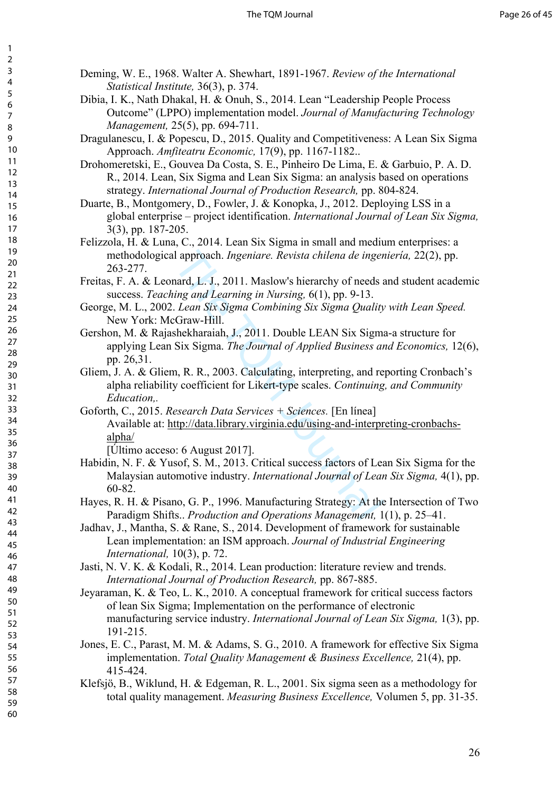- Deming, W. E., 1968. Walter A. Shewhart, 1891-1967. *Review of the International Statistical Institute,* 36(3), p. 374.
- Dibia, I. K., Nath Dhakal, H. & Onuh, S., 2014. Lean "Leadership People Process Outcome" (LPPO) implementation model. *Journal of Manufacturing Technology Management,* 25(5), pp. 694-711.
- Dragulanescu, I. & Popescu, D., 2015. Quality and Competitiveness: A Lean Six Sigma Approach. *Amfiteatru Economic,* 17(9), pp. 1167-1182..
- Drohomeretski, E., Gouvea Da Costa, S. E., Pinheiro De Lima, E. & Garbuio, P. A. D. R., 2014. Lean, Six Sigma and Lean Six Sigma: an analysis based on operations strategy. *International Journal of Production Research,* pp. 804-824.
- Duarte, B., Montgomery, D., Fowler, J. & Konopka, J., 2012. Deploying LSS in a global enterprise – project identification. *International Journal of Lean Six Sigma,*  3(3), pp. 187-205.
- Felizzola, H. & Luna, C., 2014. Lean Six Sigma in small and medium enterprises: a methodological approach. *Ingeniare. Revista chilena de ingeniería,* 22(2), pp. 263-277.
- Freitas, F. A. & Leonard, L. J., 2011. Maslow's hierarchy of needs and student academic success. *Teaching and Learning in Nursing,* 6(1), pp. 9-13.
- George, M. L., 2002. *Lean Six Sigma Combining Six Sigma Quality with Lean Speed.*  New York: McGraw-Hill.
- Gershon, M. & Rajashekharaiah, J., 2011. Double LEAN Six Sigma-a structure for applying Lean Six Sigma. *The Journal of Applied Business and Economics,* 12(6), pp. 26,31.
- Gliem, J. A. & Gliem, R. R., 2003. Calculating, interpreting, and reporting Cronbach's alpha reliability coefficient for Likert-type scales. *Continuing, and Community Education,.*
- l approach. *Ingeniare. Revista chilena de ingen*<br>
aard, L. J., 2011. Maslow's hierarchy of needs a<br> *ing and Learning in Nursing*, 6(1), pp. 9-13.<br> *Lean Six Sigma Combining Six Sigma Quality*<br>
Graw-Hill.<br>
Shekharaiah, J. Goforth, C., 2015. *Research Data Services + Sciences.* [En línea] Available at: http://data.library.virginia.edu/using-and-interpreting-cronbachsalpha/
	- [Último acceso: 6 August 2017].
- Habidin, N. F. & Yusof, S. M., 2013. Critical success factors of Lean Six Sigma for the Malaysian automotive industry. *International Journal of Lean Six Sigma,* 4(1), pp. 60-82.
- Hayes, R. H. & Pisano, G. P., 1996. Manufacturing Strategy: At the Intersection of Two Paradigm Shifts.. *Production and Operations Management,* 1(1), p. 25–41.
- Jadhav, J., Mantha, S. & Rane, S., 2014. Development of framework for sustainable Lean implementation: an ISM approach. *Journal of Industrial Engineering International,* 10(3), p. 72.
- Jasti, N. V. K. & Kodali, R., 2014. Lean production: literature review and trends. *International Journal of Production Research,* pp. 867-885.
- Jeyaraman, K. & Teo, L. K., 2010. A conceptual framework for critical success factors of lean Six Sigma; Implementation on the performance of electronic manufacturing service industry. *International Journal of Lean Six Sigma,* 1(3), pp. 191-215.
- Jones, E. C., Parast, M. M. & Adams, S. G., 2010. A framework for effective Six Sigma implementation. *Total Quality Management & Business Excellence,* 21(4), pp. 415-424.
- Klefsjö, B., Wiklund, H. & Edgeman, R. L., 2001. Six sigma seen as a methodology for total quality management. *Measuring Business Excellence,* Volumen 5, pp. 31-35.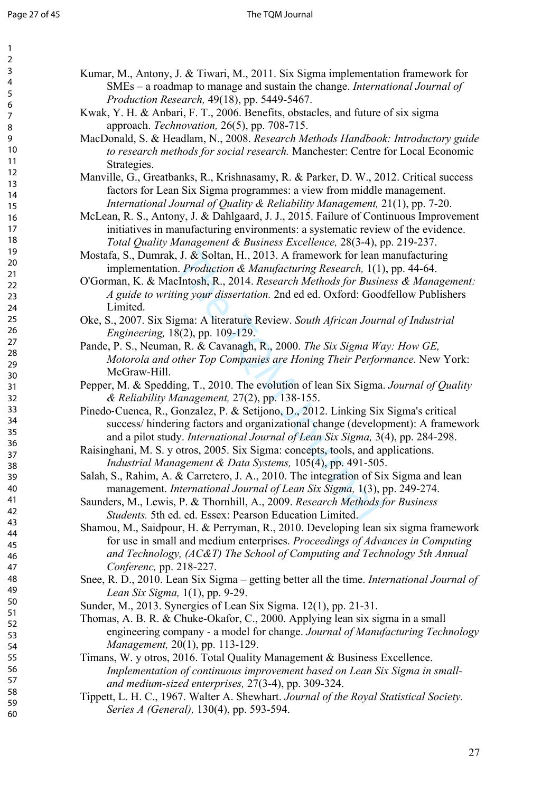| 1<br>2<br>3<br>4<br>5<br>6<br>8<br>9<br>10<br>11<br>$\overline{12}$<br>13<br>14<br>15<br>16<br>17<br>18<br>19<br>20<br>$\overline{21}$<br>$^{22}$<br>23<br>$\frac{24}{3}$<br>25<br>26<br>$^{27}$<br>28<br>29<br>30<br>$\overline{31}$<br>$\overline{32}$<br>33<br>34<br>35<br>36<br>37<br>$\ddot{ }$<br>R۶<br>39<br>40<br>41<br>42<br>43<br>44<br>45<br>46<br>47 |  |
|------------------------------------------------------------------------------------------------------------------------------------------------------------------------------------------------------------------------------------------------------------------------------------------------------------------------------------------------------------------|--|
| 48<br>49<br>50                                                                                                                                                                                                                                                                                                                                                   |  |
| 51<br>52<br>53<br>54<br>55<br>56<br>57<br>58<br>59<br>60                                                                                                                                                                                                                                                                                                         |  |

| Kumar, M., Antony, J. & Tiwari, M., 2011. Six Sigma implementation framework for   |
|------------------------------------------------------------------------------------|
| SMEs – a roadmap to manage and sustain the change. <i>International Journal of</i> |
| <i>Production Research,</i> $49(18)$ , pp. 5449-5467.                              |

- Kwak, Y. H. & Anbari, F. T., 2006. Benefits, obstacles, and future of six sigma approach. *Technovation,* 26(5), pp. 708-715.
- MacDonald, S. & Headlam, N., 2008. *Research Methods Handbook: Introductory guide to research methods for social research.* Manchester: Centre for Local Economic Strategies.
- Manville, G., Greatbanks, R., Krishnasamy, R. & Parker, D. W., 2012. Critical success factors for Lean Six Sigma programmes: a view from middle management. *International Journal of Quality & Reliability Management,* 21(1), pp. 7-20.
- McLean, R. S., Antony, J. & Dahlgaard, J. J., 2015. Failure of Continuous Improvement initiatives in manufacturing environments: a systematic review of the evidence. *Total Quality Management & Business Excellence,* 28(3-4), pp. 219-237.

Mostafa, S., Dumrak, J. & Soltan, H., 2013. A framework for lean manufacturing implementation. *Production & Manufacturing Research,* 1(1), pp. 44-64.

- , J. & Soltan, H., 2013. A framework for lean r<br>
1. *Production & Manufacturing Research*, 1(1)<br>
clntosh, R., 2014. *Research Methods for Busin*<br> *ing your dissertation.* 2nd ed ed. Oxford: Good<br>
gma: A literature Review. O'Gorman, K. & MacIntosh, R., 2014. *Research Methods for Business & Management: A guide to writing your dissertation.* 2nd ed ed. Oxford: Goodfellow Publishers Limited.
- Oke, S., 2007. Six Sigma: A literature Review. *South African Journal of Industrial Engineering,* 18(2), pp. 109-129.
- Pande, P. S., Neuman, R. & Cavanagh, R., 2000. *The Six Sigma Way: How GE, Motorola and other Top Companies are Honing Their Performance.* New York: McGraw-Hill.
- Pepper, M. & Spedding, T., 2010. The evolution of lean Six Sigma. *Journal of Quality & Reliability Management,* 27(2), pp. 138-155.
- Pinedo ‐Cuenca, R., Gonzalez, P. & Setijono, D., 2012. Linking Six Sigma's critical success/ hindering factors and organizational change (development): A framework and a pilot study. *International Journal of Lean Six Sigma,* 3(4), pp. 284-298.
- Raisinghani, M. S. y otros, 2005. Six Sigma: concepts, tools, and applications. *Industrial Management & Data Systems,* 105(4), pp. 491-505.
- Salah, S., Rahim, A. & Carretero, J. A., 2010. The integration of Six Sigma and lean management. *International Journal of Lean Six Sigma,* 1(3), pp. 249-274.
- Saunders, M., Lewis, P. & Thornhill, A., 2009. *Research Methods for Business Students.* 5th ed. ed. Essex: Pearson Education Limited.
- Shamou, M., Saidpour, H. & Perryman, R., 2010. Developing lean six sigma framework for use in small and medium enterprises. *Proceedings of Advances in Computing and Technology, (AC&T) The School of Computing and Technology 5th Annual Conferenc,* pp. 218-227.
- Snee, R. D., 2010. Lean Six Sigma getting better all the time. *International Journal of Lean Six Sigma,* 1(1), pp. 9-29.
- Sunder, M., 2013. Synergies of Lean Six Sigma. 12(1), pp. 21-31.
- Thomas, A. B. R. & Chuke-Okafor, C., 2000. Applying lean six sigma in a small engineering company - a model for change. *Journal of Manufacturing Technology Management,* 20(1), pp. 113-129.
- Timans, W. y otros, 2016. Total Quality Management & Business Excellence. *Implementation of continuous improvement based on Lean Six Sigma in smalland medium-sized enterprises,* 27(3-4), pp. 309-324.
- Tippett, L. H. C., 1967. Walter A. Shewhart. *Journal of the Royal Statistical Society. Series A (General),* 130(4), pp. 593-594.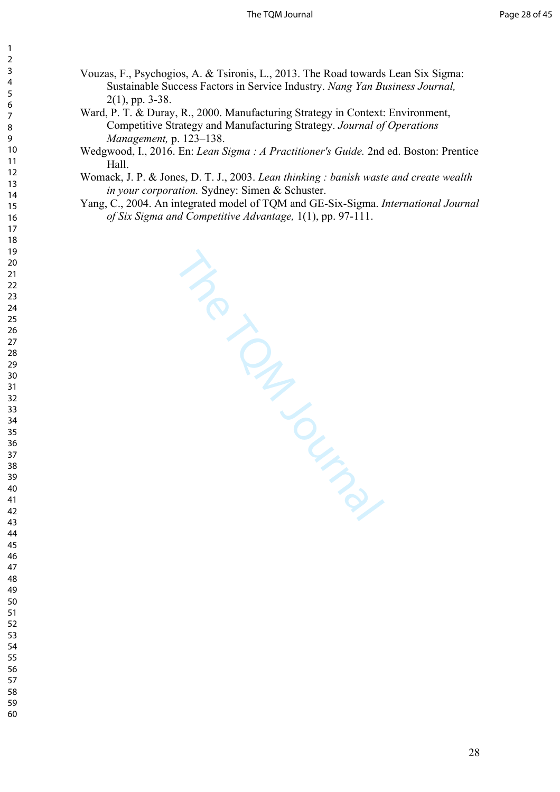- Vouzas, F., Psychogios, A. & Tsironis, L., 2013. The Road towards Lean Six Sigma: Sustainable Success Factors in Service Industry. *Nang Yan Business Journal,*  2(1), pp. 3-38.
- Ward, P. T. & Duray, R., 2000. Manufacturing Strategy in Context: Environment, Competitive Strategy and Manufacturing Strategy. *Journal of Operations Management,* p. 123–138.
- Wedgwood, I., 2016. En: *Lean Sigma : A Practitioner's Guide.* 2nd ed. Boston: Prentice Hall.
- Womack, J. P. & Jones, D. T. J., 2003. *Lean thinking : banish waste and create wealth in your corporation.* Sydney: Simen & Schuster.
- Yang, C., 2004. An integrated model of TQM and GE-Six-Sigma. *International Journal of Six Sigma and Competitive Advantage,* 1(1), pp. 97-111.

The Transporting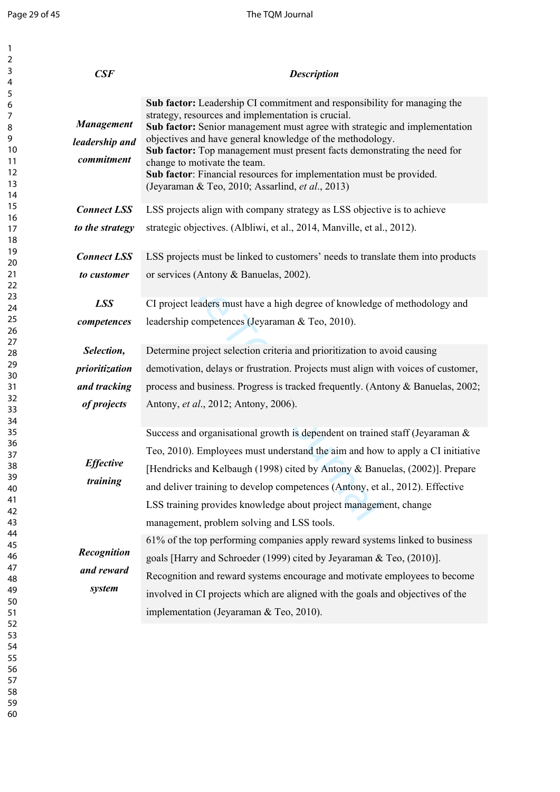$\mathbf{1}$  $\overline{2}$  $\overline{3}$ 

## Page 29 of 45 The TQM Journal

| CSF                                               | <b>Description</b>                                                                                                                                                                                                                                                                                                                                                                                                                                                                                                |
|---------------------------------------------------|-------------------------------------------------------------------------------------------------------------------------------------------------------------------------------------------------------------------------------------------------------------------------------------------------------------------------------------------------------------------------------------------------------------------------------------------------------------------------------------------------------------------|
| <b>Management</b><br>leadership and<br>commitment | Sub factor: Leadership CI commitment and responsibility for managing the<br>strategy, resources and implementation is crucial.<br>Sub factor: Senior management must agree with strategic and implementation<br>objectives and have general knowledge of the methodology.<br>Sub factor: Top management must present facts demonstrating the need for<br>change to motivate the team.<br>Sub factor: Financial resources for implementation must be provided.<br>(Jeyaraman & Teo, 2010; Assarlind, et al., 2013) |
| <b>Connect LSS</b>                                | LSS projects align with company strategy as LSS objective is to achieve                                                                                                                                                                                                                                                                                                                                                                                                                                           |
| to the strategy                                   | strategic objectives. (Albliwi, et al., 2014, Manville, et al., 2012).                                                                                                                                                                                                                                                                                                                                                                                                                                            |
| <b>Connect LSS</b>                                | LSS projects must be linked to customers' needs to translate them into products                                                                                                                                                                                                                                                                                                                                                                                                                                   |
| to customer                                       | or services (Antony & Banuelas, 2002).                                                                                                                                                                                                                                                                                                                                                                                                                                                                            |
| <b>LSS</b>                                        | CI project leaders must have a high degree of knowledge of methodology and                                                                                                                                                                                                                                                                                                                                                                                                                                        |
| competences                                       | leadership competences (Jeyaraman & Teo, 2010).                                                                                                                                                                                                                                                                                                                                                                                                                                                                   |
| Selection,                                        | Determine project selection criteria and prioritization to avoid causing                                                                                                                                                                                                                                                                                                                                                                                                                                          |
| prioritization                                    | demotivation, delays or frustration. Projects must align with voices of customer,                                                                                                                                                                                                                                                                                                                                                                                                                                 |
| and tracking                                      | process and business. Progress is tracked frequently. (Antony & Banuelas, 2002;                                                                                                                                                                                                                                                                                                                                                                                                                                   |
| of projects                                       | Antony, et al., 2012; Antony, 2006).                                                                                                                                                                                                                                                                                                                                                                                                                                                                              |
| <b>Effective</b><br>training                      | Success and organisational growth is dependent on trained staff (Jeyaraman &<br>Teo, 2010). Employees must understand the aim and how to apply a CI initiative<br>[Hendricks and Kelbaugh (1998) cited by Antony & Banuelas, (2002)]. Prepare<br>and deliver training to develop competences (Antony, et al., 2012). Effective<br>LSS training provides knowledge about project management, change                                                                                                                |
| <b>Recognition</b><br>and reward<br>system        | management, problem solving and LSS tools.<br>61% of the top performing companies apply reward systems linked to business<br>goals [Harry and Schroeder (1999) cited by Jeyaraman & Teo, (2010)].<br>Recognition and reward systems encourage and motivate employees to become<br>involved in CI projects which are aligned with the goals and objectives of the<br>implementation (Jeyaraman & Teo, 2010).                                                                                                       |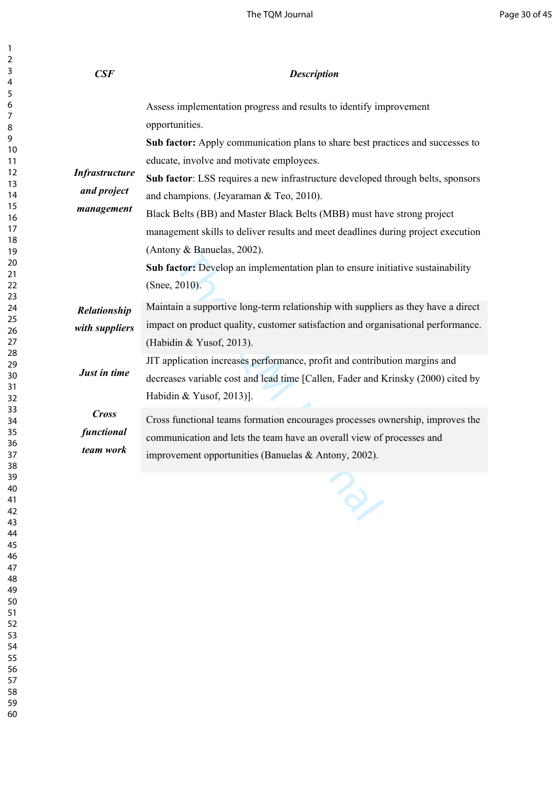## The TQM Journal **Page 30 of 45**

| CSE                   | <b>Description</b>                                                                                                         |  |  |  |  |
|-----------------------|----------------------------------------------------------------------------------------------------------------------------|--|--|--|--|
|                       | Assess implementation progress and results to identify improvement<br>opportunities.                                       |  |  |  |  |
|                       | Sub factor: Apply communication plans to share best practices and successes to<br>educate, involve and motivate employees. |  |  |  |  |
| <b>Infrastructure</b> | Sub factor: LSS requires a new infrastructure developed through belts, sponsors                                            |  |  |  |  |
| and project           | and champions. (Jeyaraman & Teo, 2010).                                                                                    |  |  |  |  |
| management            | Black Belts (BB) and Master Black Belts (MBB) must have strong project                                                     |  |  |  |  |
|                       | management skills to deliver results and meet deadlines during project execution                                           |  |  |  |  |
|                       | (Antony & Banuelas, 2002).                                                                                                 |  |  |  |  |
|                       | Sub factor: Develop an implementation plan to ensure initiative sustainability                                             |  |  |  |  |
|                       | (Snee, 2010).                                                                                                              |  |  |  |  |
| Relationship          | Maintain a supportive long-term relationship with suppliers as they have a direct                                          |  |  |  |  |
| with suppliers        | impact on product quality, customer satisfaction and organisational performance.                                           |  |  |  |  |
|                       | (Habidin & Yusof, 2013).                                                                                                   |  |  |  |  |
|                       | JIT application increases performance, profit and contribution margins and                                                 |  |  |  |  |
| Just in time          | decreases variable cost and lead time [Callen, Fader and Krinsky (2000) cited by                                           |  |  |  |  |
|                       | Habidin & Yusof, 2013)].                                                                                                   |  |  |  |  |
| <b>Cross</b>          | Cross functional teams formation encourages processes ownership, improves the                                              |  |  |  |  |
| functional            | communication and lets the team have an overall view of processes and                                                      |  |  |  |  |
| team work             | improvement opportunities (Banuelas & Antony, 2002).                                                                       |  |  |  |  |
|                       |                                                                                                                            |  |  |  |  |

 $\mathbf{1}$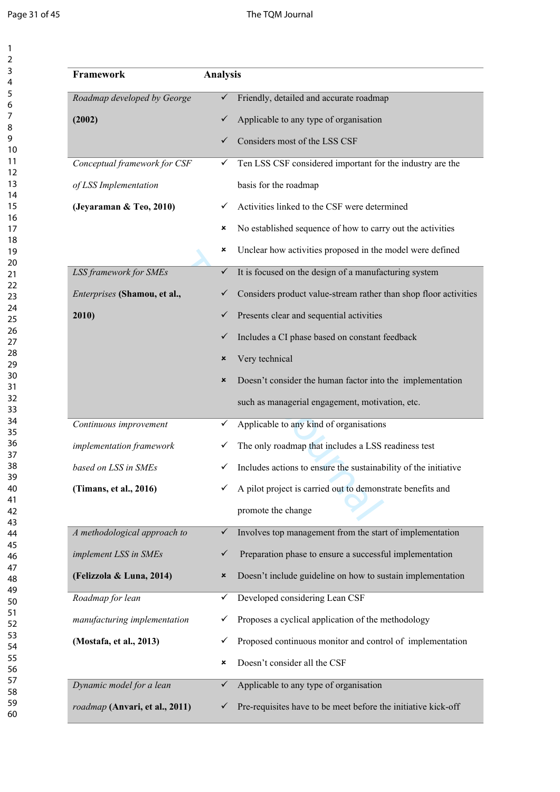$\mathbf{1}$  $\overline{2}$ 

| Framework                      | <b>Analysis</b>                                                          |
|--------------------------------|--------------------------------------------------------------------------|
| Roadmap developed by George    | Friendly, detailed and accurate roadmap<br>✓                             |
| (2002)                         | Applicable to any type of organisation<br>✓                              |
|                                | Considers most of the LSS CSF<br>✓                                       |
| Conceptual framework for CSF   | Ten LSS CSF considered important for the industry are the<br>✓           |
| of LSS Implementation          | basis for the roadmap                                                    |
| (Jeyaraman & Teo, 2010)        | Activities linked to the CSF were determined<br>✓                        |
|                                | No established sequence of how to carry out the activities<br>×          |
|                                | Unclear how activities proposed in the model were defined<br>×           |
| LSS framework for SMEs         | It is focused on the design of a manufacturing system<br>$\checkmark$    |
| Enterprises (Shamou, et al.,   | Considers product value-stream rather than shop floor activities<br>✓    |
| 2010)                          | Presents clear and sequential activities<br>✓                            |
|                                | Includes a CI phase based on constant feedback<br>✓                      |
|                                | Very technical<br>×                                                      |
|                                | Doesn't consider the human factor into the implementation<br>×           |
|                                | such as managerial engagement, motivation, etc.                          |
| Continuous improvement         | Applicable to any kind of organisations<br>✓                             |
| implementation framework       | The only roadmap that includes a LSS readiness test<br>✓                 |
| based on LSS in SMEs           | Includes actions to ensure the sustainability of the initiative<br>✓     |
| (Timans, et al., 2016)         | A pilot project is carried out to demonstrate benefits and               |
|                                | promote the change                                                       |
| A methodological approach to   | Involves top management from the start of implementation<br>$\checkmark$ |
| implement LSS in SMEs          | Preparation phase to ensure a successful implementation<br>✓             |
| (Felizzola & Luna, 2014)       | Doesn't include guideline on how to sustain implementation<br>×          |
| Roadmap for lean               | Developed considering Lean CSF<br>$\checkmark$                           |
| manufacturing implementation   | Proposes a cyclical application of the methodology<br>✓                  |
| (Mostafa, et al., 2013)        | Proposed continuous monitor and control of implementation<br>✓           |
|                                | Doesn't consider all the CSF<br>×                                        |
| Dynamic model for a lean       | Applicable to any type of organisation<br>$\checkmark$                   |
| roadmap (Anvari, et al., 2011) | Pre-requisites have to be meet before the initiative kick-off<br>✓       |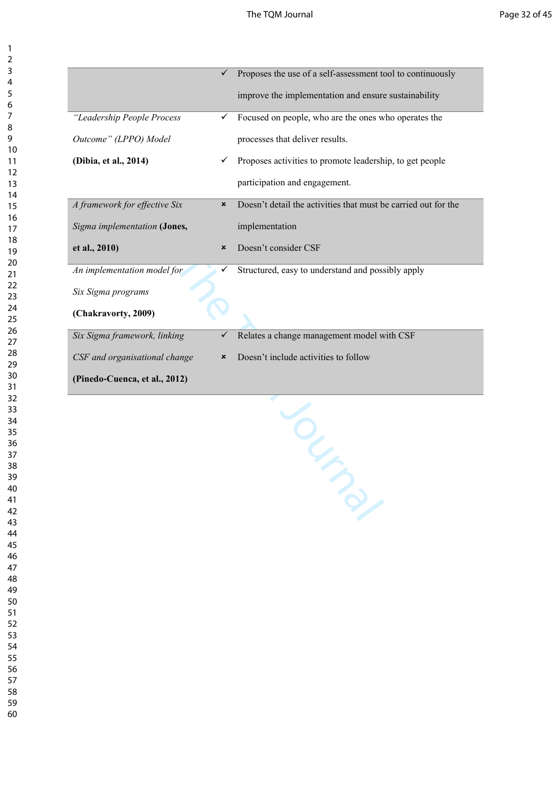|                               | ✓              | Proposes the use of a self-assessment tool to continuously     |
|-------------------------------|----------------|----------------------------------------------------------------|
|                               |                | improve the implementation and ensure sustainability           |
| "Leadership People Process    | ✓              | Focused on people, who are the ones who operates the           |
| Outcome" (LPPO) Model         |                | processes that deliver results.                                |
| (Dibia, et al., 2014)         | ✓              | Proposes activities to promote leadership, to get people       |
|                               |                | participation and engagement.                                  |
| A framework for effective Six | $\pmb{\times}$ | Doesn't detail the activities that must be carried out for the |
| Sigma implementation (Jones,  |                | implementation                                                 |
| et al., 2010)                 | $\pmb{\times}$ | Doesn't consider CSF                                           |
| An implementation model for   | ✓              | Structured, easy to understand and possibly apply              |
| Six Sigma programs            |                |                                                                |
| (Chakravorty, 2009)           |                |                                                                |
| Six Sigma framework, linking  |                | Relates a change management model with CSF                     |
| CSF and organisational change | ×              | Doesn't include activities to follow                           |
| (Pinedo-Cuenca, et al., 2012) |                |                                                                |
|                               |                |                                                                |

 $T\frac{1}{\omega_{\nu_{\rho_{\rho_{\nu}}}}}$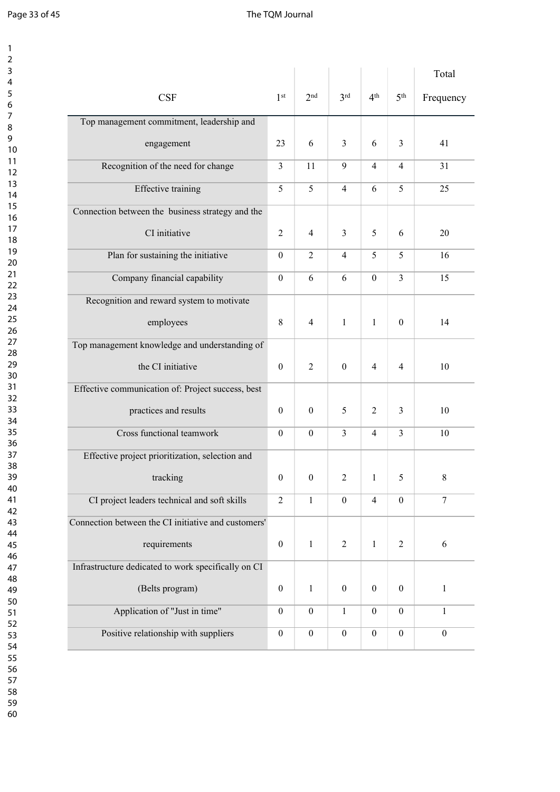$\mathbf{1}$  $\overline{2}$  $\overline{3}$  $\overline{\mathbf{4}}$ 

|                                                     |                  |                  |                  |                  |                  | Total            |
|-----------------------------------------------------|------------------|------------------|------------------|------------------|------------------|------------------|
| <b>CSF</b>                                          | 1 <sup>st</sup>  | 2nd              | 3 <sup>rd</sup>  | 4 <sup>th</sup>  | 5 <sup>th</sup>  | Frequency        |
| Top management commitment, leadership and           |                  |                  |                  |                  |                  |                  |
| engagement                                          | 23               | 6                | 3                | 6                | 3                | 41               |
| Recognition of the need for change                  | $\overline{3}$   | 11               | 9                | 4                | $\overline{4}$   | 31               |
| Effective training                                  | 5                | 5                | $\overline{4}$   | 6                | 5                | 25               |
| Connection between the business strategy and the    |                  |                  |                  |                  |                  |                  |
| CI initiative                                       | $\overline{2}$   | $\overline{4}$   | $\overline{3}$   | 5                | 6                | 20               |
| Plan for sustaining the initiative                  | $\boldsymbol{0}$ | $\overline{2}$   | 4                | 5                | 5                | 16               |
| Company financial capability                        | $\boldsymbol{0}$ | 6                | 6                | $\boldsymbol{0}$ | $\overline{3}$   | 15               |
| Recognition and reward system to motivate           |                  |                  |                  |                  |                  |                  |
| employees                                           | 8                | $\overline{4}$   | $\mathbf{1}$     | $\mathbf{1}$     | $\mathbf{0}$     | 14               |
| Top management knowledge and understanding of       |                  |                  |                  |                  |                  |                  |
| the CI initiative                                   | $\mathbf{0}$     | $\overline{2}$   | $\boldsymbol{0}$ | $\overline{4}$   | $\overline{4}$   | 10               |
| Effective communication of: Project success, best   |                  |                  |                  |                  |                  |                  |
| practices and results                               | $\mathbf{0}$     | $\boldsymbol{0}$ | 5                | $\overline{2}$   | 3                | 10               |
| Cross functional teamwork                           | $\boldsymbol{0}$ | $\boldsymbol{0}$ | $\overline{3}$   | $\overline{4}$   | $\overline{3}$   | 10               |
| Effective project prioritization, selection and     |                  |                  |                  |                  |                  |                  |
| tracking                                            | $\boldsymbol{0}$ | $\mathbf{0}$     | $\overline{2}$   | $\mathbf{1}$     | 5                | 8                |
| CI project leaders technical and soft skills        | $\overline{2}$   | $\mathbf{1}$     | $\boldsymbol{0}$ | $\overline{4}$   | $\boldsymbol{0}$ | 7                |
| Connection between the CI initiative and customers' |                  |                  |                  |                  |                  |                  |
| requirements                                        | $\boldsymbol{0}$ | $\mathbf{1}$     | $\overline{2}$   | $\mathbf{1}$     | $\overline{2}$   | 6                |
| Infrastructure dedicated to work specifically on CI |                  |                  |                  |                  |                  |                  |
| (Belts program)                                     | $\boldsymbol{0}$ | $\mathbf{1}$     | $\boldsymbol{0}$ | $\boldsymbol{0}$ | $\boldsymbol{0}$ | $\mathbf{1}$     |
| Application of "Just in time"                       | $\boldsymbol{0}$ | $\boldsymbol{0}$ | $\mathbf{1}$     | $\boldsymbol{0}$ | $\boldsymbol{0}$ | $\mathbf{1}$     |
| Positive relationship with suppliers                | $\boldsymbol{0}$ | $\boldsymbol{0}$ | $\boldsymbol{0}$ | $\boldsymbol{0}$ | $\boldsymbol{0}$ | $\boldsymbol{0}$ |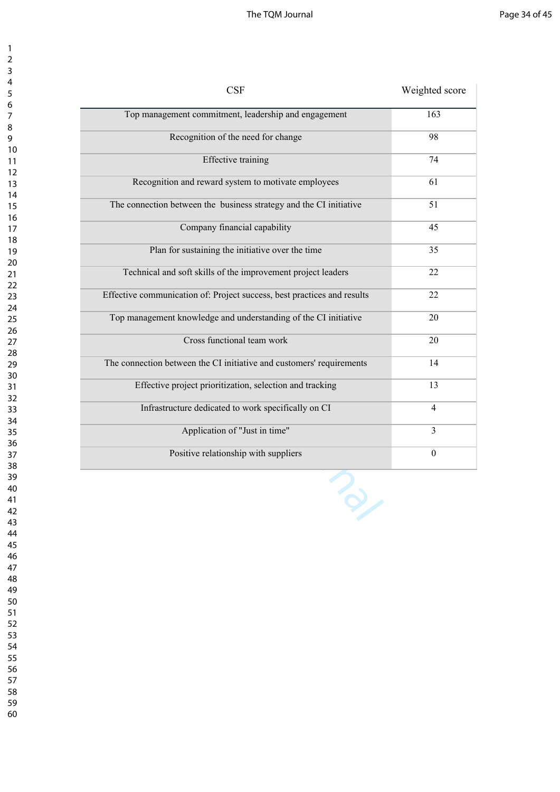| <b>CSF</b>                                                              | Weighted score   |
|-------------------------------------------------------------------------|------------------|
| Top management commitment, leadership and engagement                    | 163              |
| Recognition of the need for change                                      | 98               |
| <b>Effective training</b>                                               | 74               |
| Recognition and reward system to motivate employees                     | 61               |
| The connection between the business strategy and the CI initiative      | 51               |
| Company financial capability                                            | 45               |
| Plan for sustaining the initiative over the time                        | 35               |
| Technical and soft skills of the improvement project leaders            | 22               |
| Effective communication of: Project success, best practices and results | 22               |
| Top management knowledge and understanding of the CI initiative         | 20               |
| Cross functional team work                                              | 20               |
| The connection between the CI initiative and customers' requirements    | 14               |
| Effective project prioritization, selection and tracking                | 13               |
| Infrastructure dedicated to work specifically on CI                     | $\overline{4}$   |
| Application of "Just in time"                                           | 3                |
| Positive relationship with suppliers                                    | $\boldsymbol{0}$ |
|                                                                         |                  |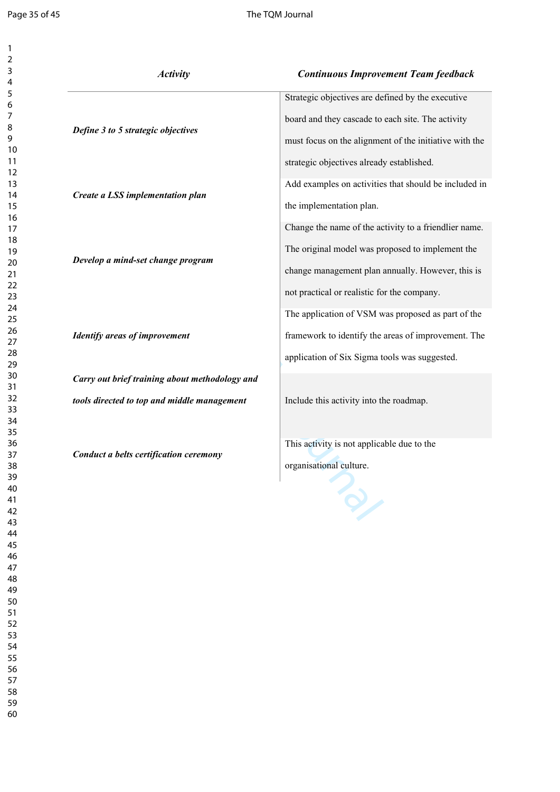$\mathbf{1}$  $\overline{2}$  $\overline{3}$  $\overline{\mathbf{4}}$  $\overline{\mathbf{5}}$  $\overline{6}$ 

| <b>Activity</b>                                | <b>Continuous Improvement Team feedback</b>            |
|------------------------------------------------|--------------------------------------------------------|
|                                                | Strategic objectives are defined by the executive      |
| Define 3 to 5 strategic objectives             | board and they cascade to each site. The activity      |
|                                                | must focus on the alignment of the initiative with the |
|                                                | strategic objectives already established.              |
|                                                | Add examples on activities that should be included in  |
| Create a LSS implementation plan               | the implementation plan.                               |
|                                                | Change the name of the activity to a friendlier name.  |
|                                                | The original model was proposed to implement the       |
| Develop a mind-set change program              | change management plan annually. However, this is      |
|                                                | not practical or realistic for the company.            |
|                                                | The application of VSM was proposed as part of the     |
| <b>Identify areas of improvement</b>           | framework to identify the areas of improvement. The    |
|                                                | application of Six Sigma tools was suggested.          |
| Carry out brief training about methodology and |                                                        |
| tools directed to top and middle management    | Include this activity into the roadmap.                |
|                                                |                                                        |
|                                                | This activity is not applicable due to the             |
| Conduct a belts certification ceremony         | organisational culture.                                |
|                                                |                                                        |
|                                                | $\hat{Q}$                                              |
|                                                |                                                        |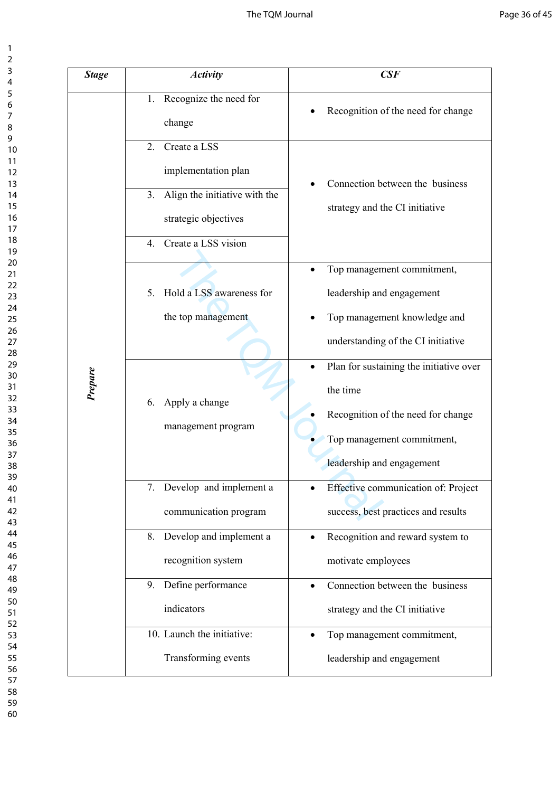| <b>Stage</b> | <b>Activity</b>                                                                                                        | $\boldsymbol{CSF}$                                                                                                                                   |
|--------------|------------------------------------------------------------------------------------------------------------------------|------------------------------------------------------------------------------------------------------------------------------------------------------|
|              | Recognize the need for<br>1.<br>change                                                                                 | Recognition of the need for change                                                                                                                   |
|              | $\overline{2}$ .<br>Create a LSS<br>implementation plan<br>Align the initiative with the<br>3.<br>strategic objectives | Connection between the business<br>strategy and the CI initiative                                                                                    |
|              | Create a LSS vision<br>$\overline{4}$ .                                                                                |                                                                                                                                                      |
|              | Hold a LSS awareness for<br>5.<br>the top management                                                                   | Top management commitment,<br>leadership and engagement<br>Top management knowledge and                                                              |
| Prepare      |                                                                                                                        | understanding of the CI initiative                                                                                                                   |
|              | Apply a change<br>6.<br>management program                                                                             | Plan for sustaining the initiative over<br>the time<br>Recognition of the need for change<br>Top management commitment,<br>leadership and engagement |
|              | 7. Develop and implement a<br>communication program                                                                    | Effective communication of: Project<br>success, best practices and results                                                                           |
|              | Develop and implement a<br>8.<br>recognition system                                                                    | Recognition and reward system to<br>$\bullet$<br>motivate employees                                                                                  |
|              | Define performance<br>9.<br>indicators                                                                                 | Connection between the business<br>$\bullet$<br>strategy and the CI initiative                                                                       |
|              | 10. Launch the initiative:<br>Transforming events                                                                      | Top management commitment,<br>leadership and engagement                                                                                              |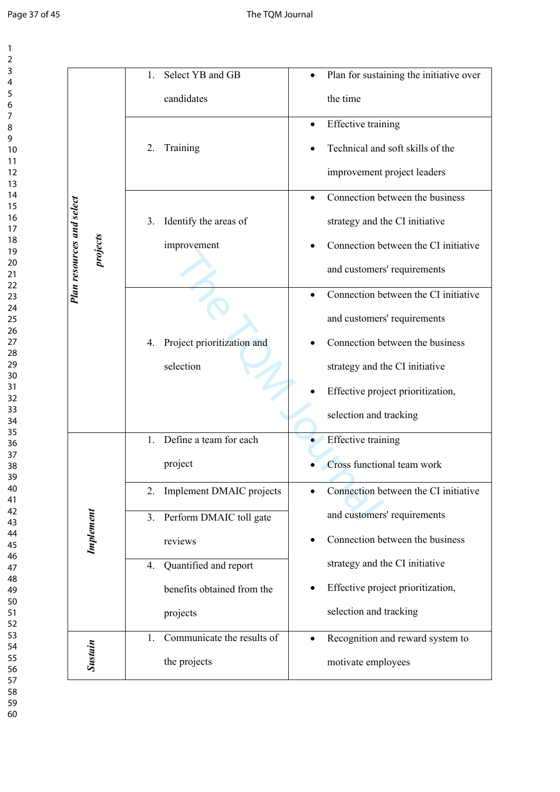| 1                                         |
|-------------------------------------------|
|                                           |
| 2                                         |
| S                                         |
|                                           |
|                                           |
|                                           |
| 6<br>7                                    |
|                                           |
| 8                                         |
| 9                                         |
| 10                                        |
|                                           |
| 1<br>1                                    |
| 1<br>$\overline{c}$                       |
| 1                                         |
| 1                                         |
| 4<br>5<br>1                               |
|                                           |
|                                           |
| 16<br>17<br>18                            |
|                                           |
| 19                                        |
|                                           |
| 20                                        |
| $\overline{21}$                           |
| 22                                        |
| $\overline{\mathbf{3}}$<br>$\overline{2}$ |
|                                           |
| 24                                        |
| $\overline{25}$                           |
| 26<br>27                                  |
|                                           |
|                                           |
| 28                                        |
| 29                                        |
| 80                                        |
| $\overline{\mathbf{3}}$                   |
| $\overline{c}$                            |
|                                           |
|                                           |
| ,<br>34<br>,                              |
|                                           |
| $\frac{2}{36}$                            |
|                                           |
| 37                                        |
| 38                                        |
| 39                                        |
| 40                                        |
|                                           |
| 41                                        |
| $\overline{4}$                            |
| 4.<br>ξ                                   |
| 44                                        |
| 45                                        |
|                                           |
| 46                                        |
| $\overline{4}$                            |
| 48                                        |
| 49                                        |
|                                           |
| 50                                        |
| 51                                        |
| 5.                                        |
| $\overline{5}$                            |
| 54                                        |
|                                           |
| 55                                        |
| 56                                        |
| $\overline{\mathbf{5}}$                   |
| 58                                        |
|                                           |
| 59<br>J                                   |

|                           | Select YB and GB<br>$\mathbf{1}$ . | Plan for sustaining the initiative over       |
|---------------------------|------------------------------------|-----------------------------------------------|
|                           | candidates                         | the time                                      |
|                           |                                    | <b>Effective training</b><br>$\bullet$        |
|                           | Training<br>2.                     | Technical and soft skills of the              |
|                           |                                    | improvement project leaders                   |
|                           |                                    | Connection between the business               |
|                           | Identify the areas of<br>3.        | strategy and the CI initiative                |
| projects                  | improvement                        | Connection between the CI initiative          |
| Plan resources and select |                                    | and customers' requirements                   |
|                           |                                    | Connection between the CI initiative          |
|                           |                                    | and customers' requirements                   |
|                           | Project prioritization and<br>4.   | Connection between the business               |
|                           | selection                          | strategy and the CI initiative                |
|                           |                                    | Effective project prioritization,             |
|                           |                                    | selection and tracking                        |
|                           | Define a team for each<br>1.       | <b>Effective</b> training                     |
|                           | project                            | Cross functional team work                    |
|                           | Implement DMAIC projects           | Connection between the CI initiative          |
|                           | Perform DMAIC toll gate<br>3.      | and customers' requirements                   |
| Implement                 | reviews                            | Connection between the business               |
|                           | Quantified and report<br>4.        | strategy and the CI initiative                |
|                           | benefits obtained from the         | Effective project prioritization,             |
|                           | projects                           | selection and tracking                        |
|                           | Communicate the results of<br>1.   | Recognition and reward system to<br>$\bullet$ |
| <b>Sustain</b>            | the projects                       | motivate employees                            |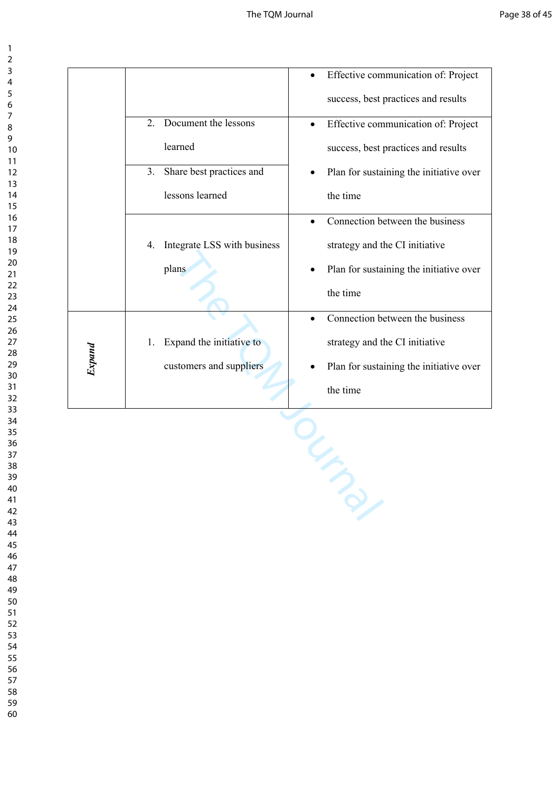|        |                                   | Effective communication of: Project     |
|--------|-----------------------------------|-----------------------------------------|
|        |                                   | success, best practices and results     |
|        | Document the lessons<br>2.        | Effective communication of: Project     |
|        | learned                           | success, best practices and results     |
|        | Share best practices and<br>3.    | Plan for sustaining the initiative over |
|        | lessons learned                   | the time                                |
|        |                                   | Connection between the business         |
|        | Integrate LSS with business<br>4. | strategy and the CI initiative          |
|        | plans                             | Plan for sustaining the initiative over |
|        |                                   | the time                                |
|        |                                   | Connection between the business         |
|        | Expand the initiative to<br>1.    | strategy and the CI initiative          |
| Expand | customers and suppliers           | Plan for sustaining the initiative over |
|        |                                   | the time                                |
|        |                                   |                                         |
|        |                                   |                                         |
|        |                                   |                                         |
|        |                                   |                                         |
|        |                                   |                                         |
|        |                                   |                                         |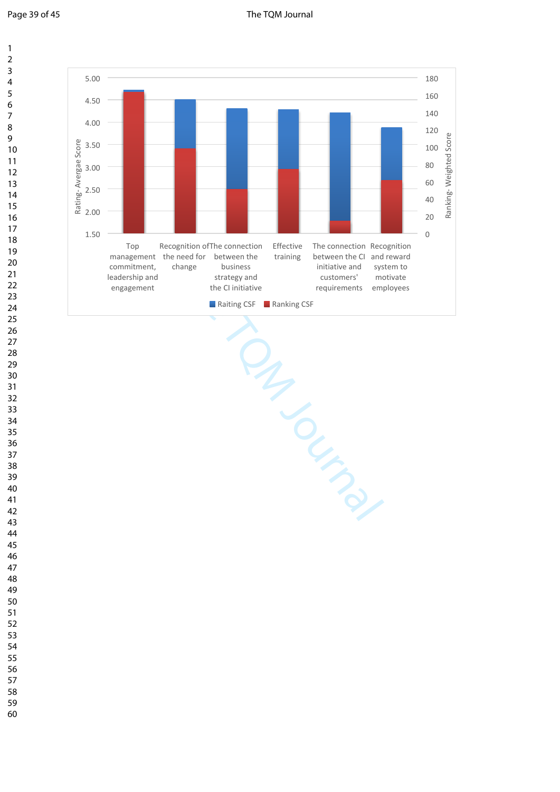$\mathbf{1}$  $\overline{2}$  $\overline{3}$  $\overline{4}$  $\overline{7}$  $\overline{9}$ 

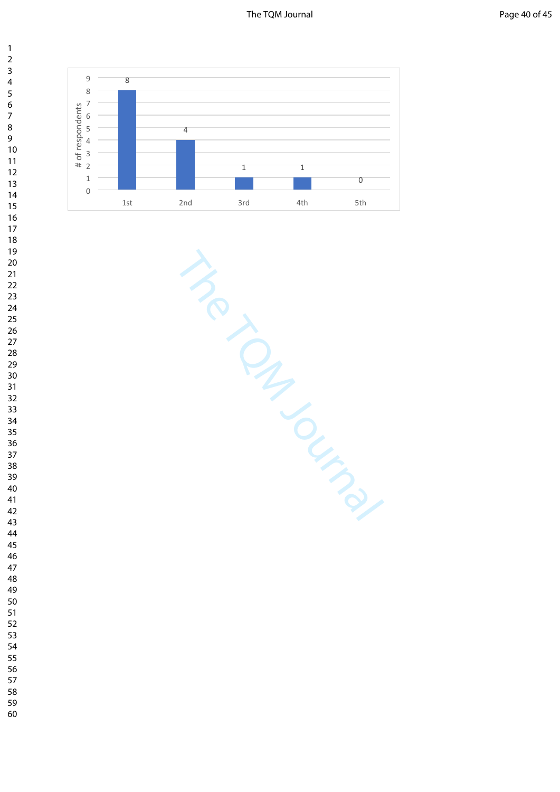

The Transporting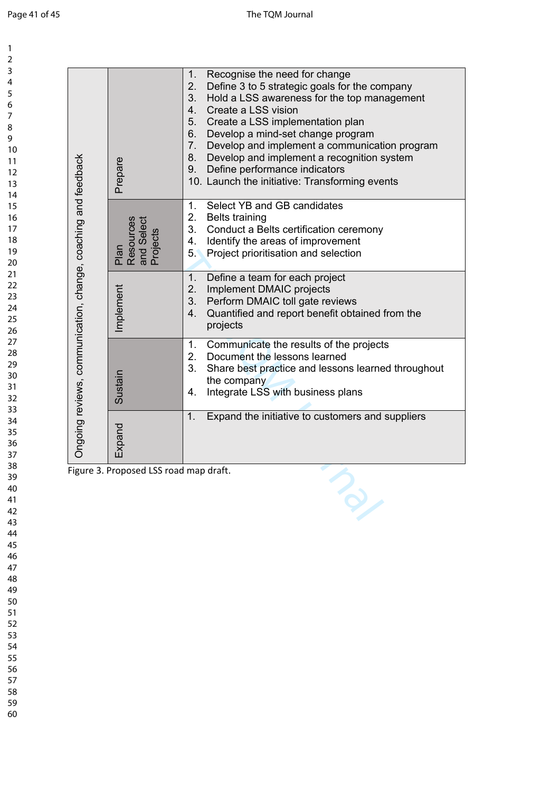$\mathbf{1}$  $\overline{2}$  $\overline{3}$ 

| Ongoing reviews, communication, change, coaching and feedback | Prepare                                     | 1.<br>Recognise the need for change<br>2.<br>Define 3 to 5 strategic goals for the company<br>3.<br>Hold a LSS awareness for the top management<br>4.<br>Create a LSS vision<br>5.<br>Create a LSS implementation plan<br>Develop a mind-set change program<br>6.<br>7.<br>Develop and implement a communication program<br>8.<br>Develop and implement a recognition system<br>9.<br>Define performance indicators<br>10. Launch the initiative: Transforming events |
|---------------------------------------------------------------|---------------------------------------------|-----------------------------------------------------------------------------------------------------------------------------------------------------------------------------------------------------------------------------------------------------------------------------------------------------------------------------------------------------------------------------------------------------------------------------------------------------------------------|
|                                                               | Plan<br>Resources<br>and Select<br>Projects | Select YB and GB candidates<br>1.<br>2.<br><b>Belts training</b><br>3.<br>Conduct a Belts certification ceremony<br>4.<br>Identify the areas of improvement<br>5.<br>Project prioritisation and selection                                                                                                                                                                                                                                                             |
|                                                               | Implement                                   | 1.<br>Define a team for each project<br>2.<br>Implement DMAIC projects<br>3.<br>Perform DMAIC toll gate reviews<br>4.<br>Quantified and report benefit obtained from the<br>projects                                                                                                                                                                                                                                                                                  |
|                                                               | Sustain                                     | Communicate the results of the projects<br>1.<br>2.<br>Document the lessons learned<br>3.<br>Share best practice and lessons learned throughout<br>the company<br>Integrate LSS with business plans<br>4.                                                                                                                                                                                                                                                             |
|                                                               | Expand                                      | 1.<br>Expand the initiative to customers and suppliers                                                                                                                                                                                                                                                                                                                                                                                                                |
|                                                               | Figure 3. Proposed LSS road map draft.      |                                                                                                                                                                                                                                                                                                                                                                                                                                                                       |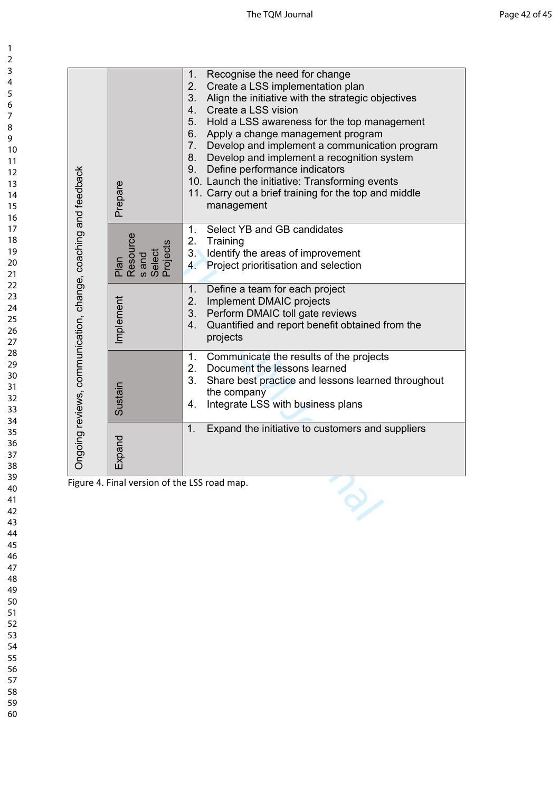1. Recognise the need for change 2. Create a LSS implementation plan 3. Align the initiative with the strategic objectives 4. Create a LSS vision 5. Hold a LSS awareness for the top management 6. Apply a change management program 7. Develop and implement a communication program 8. Develop and implement a recognition system 9. Define performance indicators Ongoing reviews, communication, change, coaching and feedback Ongoing reviews, communication, change, coaching and feedback 10. Launch the initiative: Transforming events Prepare 11. Carry out a brief training for the top and middle management 1. Select YB and GB candidates Plan Resource s and Select Projects 2. Training 3. Identify the areas of improvement 3. Identify the areas of improvement<br>4. Project prioritisation and selection<br>1. Define a team for each project<br>2. Implement DMAIC projects<br>3. Perform DMAIC toll gate reviews<br>4. Quantified and report benefit obtained<br>1. Com 4. Project prioritisation and selection 1. Define a team for each project Implement 2. Implement DMAIC projects 3. Perform DMAIC toll gate reviews 4. Quantified and report benefit obtained from the projects 1. Communicate the results of the projects 2. Document the lessons learned 3. Share best practice and lessons learned throughout Sustain the company 4. Integrate LSS with business plans 1. Expand the initiative to customers and suppliers Expand

Figure 4. Final version of the LSS road map.

 $\mathbf{1}$  $\overline{2}$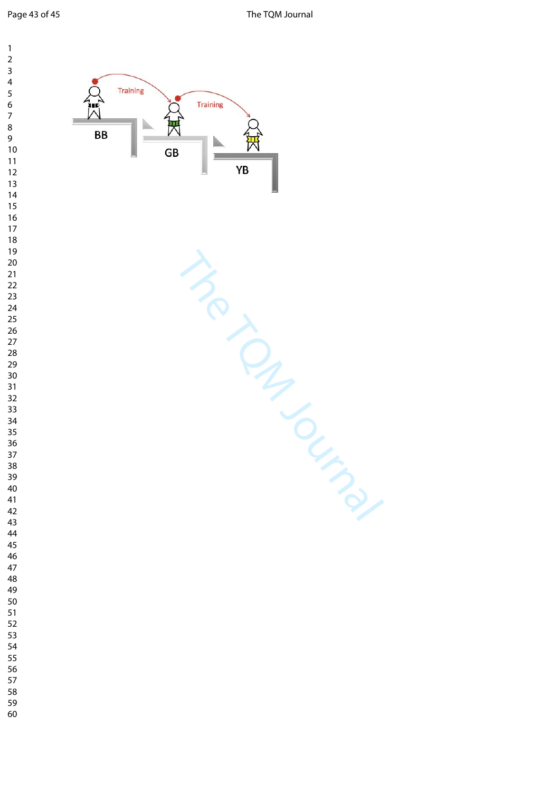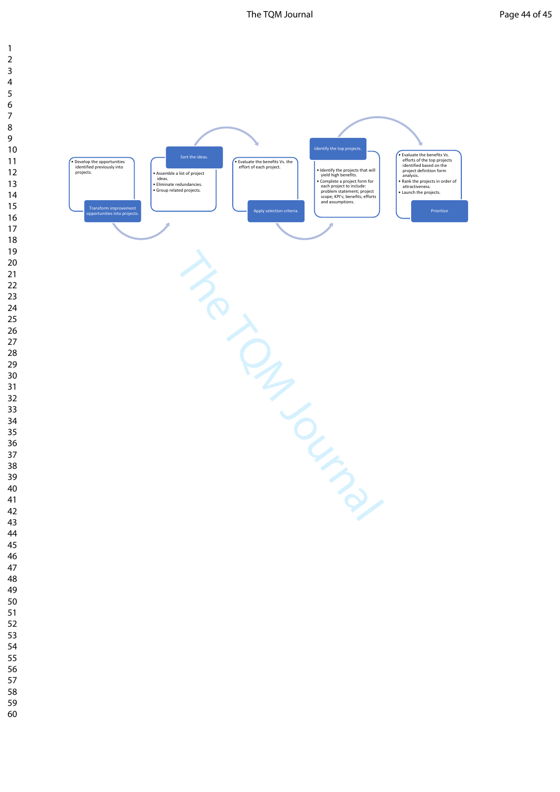The TQM Journal **Page 44 of 45** 

 $\mathbf{1}$